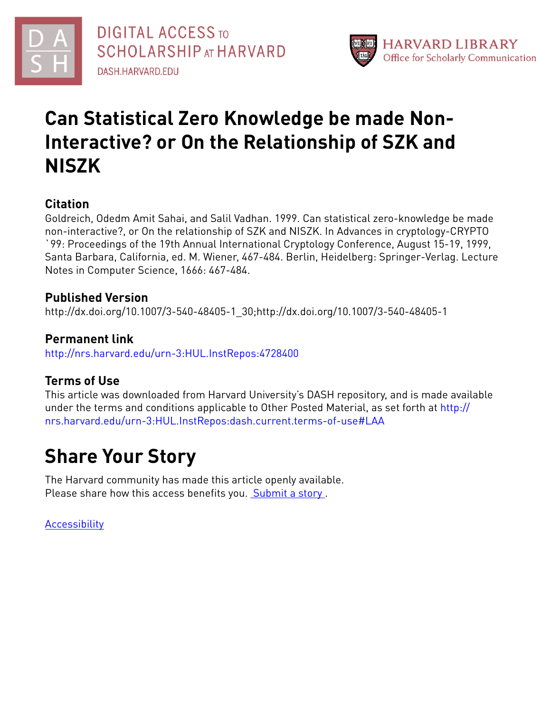



# **Can Statistical Zero Knowledge be made Non-Interactive? or On the Relationship of SZK and NISZK**

# **Citation**

Goldreich, Odedm Amit Sahai, and Salil Vadhan. 1999. Can statistical zero-knowledge be made non-interactive?, or On the relationship of SZK and NISZK. In Advances in cryptology-CRYPTO `99: Proceedings of the 19th Annual International Cryptology Conference, August 15-19, 1999, Santa Barbara, California, ed. M. Wiener, 467-484. Berlin, Heidelberg: Springer-Verlag. Lecture Notes in Computer Science, 1666: 467-484.

# **Published Version**

http://dx.doi.org/10.1007/3-540-48405-1\_30;http://dx.doi.org/10.1007/3-540-48405-1

# **Permanent link**

<http://nrs.harvard.edu/urn-3:HUL.InstRepos:4728400>

# **Terms of Use**

This article was downloaded from Harvard University's DASH repository, and is made available under the terms and conditions applicable to Other Posted Material, as set forth at [http://](http://nrs.harvard.edu/urn-3:HUL.InstRepos:dash.current.terms-of-use#LAA) [nrs.harvard.edu/urn-3:HUL.InstRepos:dash.current.terms-of-use#LAA](http://nrs.harvard.edu/urn-3:HUL.InstRepos:dash.current.terms-of-use#LAA)

# **Share Your Story**

The Harvard community has made this article openly available. Please share how this access benefits you. [Submit](http://osc.hul.harvard.edu/dash/open-access-feedback?handle=&title=Can%20Statistical%20Zero%20Knowledge%20be%20made%20Non-Interactive?%0D%0Aor%20On%20the%20Relationship%20of%20SZK%20and%20NISZK&community=1/1&collection=1/2&owningCollection1/2&harvardAuthors=ee3dd7aa8adf3ac21144d01c2b78f2d7&departmentEngineering%20and%20Applied%20Sciences) a story.

**[Accessibility](https://dash.harvard.edu/pages/accessibility)**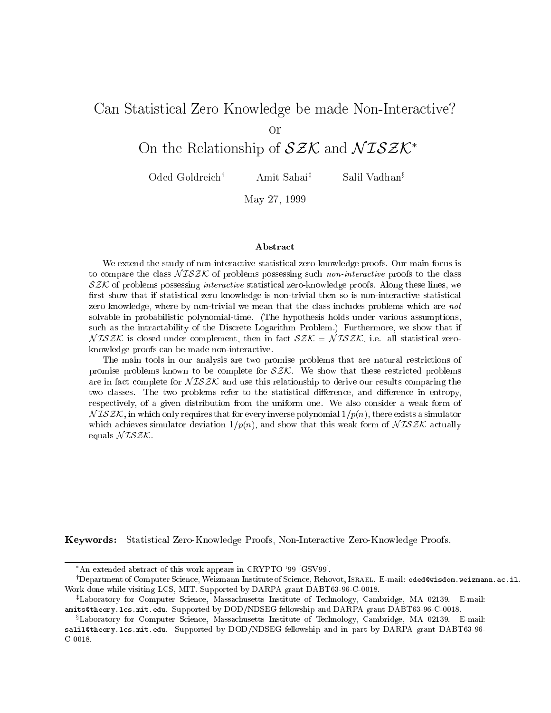# Can Statistical Zero Knowledge be made non-interactive productions in the material  $\sim$ On the Relationship of  $\partial Z\mathcal{N}$  and  $\mathcal{N} \mathcal{L} \partial Z\mathcal{N}$

Oded Goldreich<sup>†</sup> Amit Sahai<sup>‡</sup> Salil Vadhan<sup>§</sup>

May 27, 1999

#### Abstract

We extend the study of non-interactive statistical zero-knowledge proofs. Our main focus is to compare the class  $N \mathcal{I} S \mathcal{Z} \mathcal{K}$  of problems possessing such *non-interactive* proofs to the class  $\mathcal{SZK}$  of problems possessing *interactive* statistical zero-knowledge proofs. Along these lines, we first show that if statistical zero knowledge is non-trivial then so is non-interactive statistical zero knowledge, where by non-trivial we mean that the class includes problems which are not solvable in probabilistic polynomial-time. (The hypothesis holds under various assumptions, such as the intractability of the Discrete Logarithm Problem.) Furthermore, we show that if  $NISZK$  is closed under complement, then in fact  $SZK = NISZK$ , i.e. all statistical zeroknowledge proofs can be made non-interactive.

The main tools in our analysis are two promise problems that are natural restrictions of promise problems known to be complete for  $SZK$ . We show that these restricted problems are in fact complete for  $NISZK$  and use this relationship to derive our results comparing the two classes. The two problems refer to the statistical difference, and difference in entropy, respectively, of a given distribution from the uniform one. We also consider a weak form of  $N \mathcal{ISZK}$ , in which only requires that for every inverse polynomial  $1/p(n)$ , there exists a simulator which achieves simulator deviation  $1/p(n)$ , and show that this weak form of  $NISZK$  actually equals  $N \mathcal{I} \mathcal{S} \mathcal{Z} \mathcal{K}$ .

Keywords: Statistical Zero-Knowledge Proofs, Non-Interactive Zero-Knowledge Proofs.

An extended abstract of this work appears in CRYPTO `99 [GSV99].

<sup>y</sup> Department of Computer Science, Weizmann Institute of Science, Rehovot, Israel. E-mail: oded@wisdom.weizmann.ac.il. Work done while visiting LCS, MIT. Supported by DARPA grant DABT63-96-C-0018.

<sup>z</sup> Laboratory for Computer Science, Massachusetts Institute of Technology, Cambridge, MA 02139. E-mail: amits@theory.lcs.mit.edu. Supported by DOD/NDSEG fellowship and DARPA grant DABT63-96-C-0018.

<sup>x</sup> Laboratory for Computer Science, Massachusetts Institute of Technology, Cambridge, MA 02139. E-mail: salil@theory.lcs.mit.edu. Supported by DOD/NDSEG fellowship and in part by DARPA grant DABT63-96-C-0018.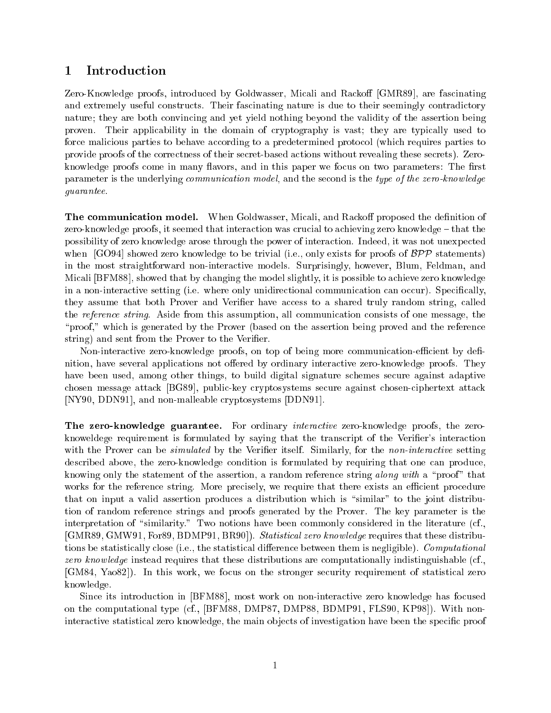## 1 Introduction

Zero-Knowledge proofs, introduced by Goldwasser, Micali and Rackoff [GMR89], are fascinating and extremely useful constructs. Their fascinating nature is due to their seemingly contradictory nature; they are both convincing and yet yield nothing beyond the validity of the assertion being proven. Their applicability in the domain of cryptography is vast; they are typically used to force malicious parties to behave according to a predetermined protocol (which requires parties to provide proofs of the correctness of their secret-based actions without revealing these secrets). Zeroknowledge proofs come in many flavors, and in this paper we focus on two parameters: The first parameter is the underlying *communication model*, and the second is the type of the zero-knowledge guarantee.

The communication model. When Goldwasser, Micali, and Rackoff proposed the definition of zero-knowledge proofs, it seemed that interaction was crucial to achieving zero knowledge  $-$  that the possibility of zero knowledge arose through the power of interaction. Indeed, it was not unexpected when  $[GO94]$  showed zero knowledge to be trivial (i.e., only exists for proofs of  $BPP$  statements) in the most straightforward non-interactive models. Surprisingly, however, Blum, Feldman, and Micali [BFM88], showed that by changing the model slightly, it is possible to achieve zero knowledge in a non-interactive setting (i.e. where only unidirectional communication can occur). Specically, they assume that both Prover and Verifier have access to a shared truly random string, called the reference string. Aside from this assumption, all communication consists of one message, the "proof," which is generated by the Prover (based on the assertion being proved and the reference string) and sent from the Prover to the Verifier.

Non-interactive zero-knowledge proofs, on top of being more communication-efficient by definition, have several applications not offered by ordinary interactive zero-knowledge proofs. They have been used, among other things, to build digital signature schemes secure against adaptive chosen message attack [BG89], public-key cryptosystems secure against chosen-ciphertext attack [NY90, DDN91], and non-malleable cryptosystems [DDN91].

The zero-knowledge guarantee. For ordinary *interactive* zero-knowledge proofs, the zeroknoweldege requirement is formulated by saying that the transcript of the Verifier's interaction with the Prover can be *simulated* by the Verifier itself. Similarly, for the non-interactive setting described above, the zero-knowledge condition is formulated by requiring that one can produce, knowing only the statement of the assertion, a random reference string along with a "proof" that works for the reference string. More precisely, we require that there exists an efficient procedure that on input a valid assertion produces a distribution which is \similar" to the joint distribution of random reference strings and proofs generated by the Prover. The key parameter is the interpretation of "similarity." Two notions have been commonly considered in the literature (cf., [GMR89, GMW91, For89, BDMP91, BR90]). Statistical zero know ledge requires that these distributions be statistically close (i.e., the statistical difference between them is negligible). Computational zero knowledge instead requires that these distributions are computationally indistinguishable (cf., [GM84, Yao82]). In this work, we focus on the stronger security requirement of statistical zero knowledge.

Since its introduction in [BFM88], most work on non-interactive zero knowledge has focused on the computational type (cf., [BFM88, DMP87, DMP88, BDMP91, FLS90, KP98]). With noninteractive statistical zero knowledge, the main objects of investigation have been the specific proof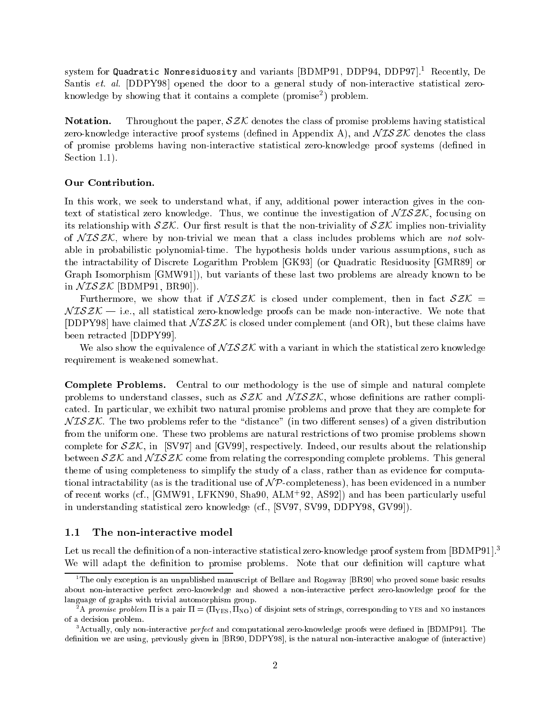system for Quadratic Nonresiduosity and variants [BDMP91, DDP94, DDP97].<sup>1</sup> Recently, De Santis et. al. [DDPY98] opened the door to a general study of non-interactive statistical zeroknowledge by snowing that it contains a complete (promise-) problem.

**Notation.** Throughout the paper,  $\mathcal{SZK}$  denotes the class of promise problems having statistical zero-knowledge interactive proof systems (defined in Appendix A), and  $NISZK$  denotes the class of promise problems having non-interactive statistical zero-knowledge proof systems (dened in Section 1.1).

#### Our Contribution.

In this work, we seek to understand what, if any, additional power interaction gives in the context of statistical zero knowledge. Thus, we continue the investigation of  $\mathcal{NISZK}$ , focusing on its relationship with  $\mathcal{SZK}$ . Our first result is that the non-triviality of  $\mathcal{SZK}$  implies non-triviality of  $NTSZK$ , where by non-trivial we mean that a class includes problems which are not solvable in probabilistic polynomial-time. The hypothesis holds under various assumptions, such as the intractability of Discrete Logarithm Problem [GK93] (or Quadratic Residuosity [GMR89] or Graph Isomorphism [GMW91]), but variants of these last two problems are already known to be in  $\mathcal{N} \mathcal{ISZK}$  [BDMP91, BR90]).

Furthermore, we show that if  $\sqrt{L}SZK$  is closed under complement, then in fact  $SZK =$  $NISZK$  - i.e., all statistical zero-knowledge proofs can be made non-interactive. We note that [DDPY98] have claimed that  $\sqrt{L}SZK$  is closed under complement (and OR), but these claims have been retracted [DDPY99].

We also show the equivalence of  $\mathcal{NISZK}$  with a variant in which the statistical zero knowledge requirement is weakened somewhat.

Complete Problems. Central to our methodology is the use of simple and natural complete problems to understand classes, such as  $SZK$  and  $NISZK$ , whose definitions are rather complicated. In particular, we exhibit two natural promise problems and prove that they are complete for  $N \text{I} S \text{Z} \mathcal{K}$ . The two problems refer to the "distance" (in two different senses) of a given distribution from the uniform one. These two problems are natural restrictions of two promise problems shown complete for  $\mathcal{SZK}$ , in [SV97] and [GV99], respectively. Indeed, our results about the relationship between  $\mathcal{SZK}$  and  $\mathcal{NISZK}$  come from relating the corresponding complete problems. This general theme of using completeness to simplify the study of a class, rather than as evidence for computational intractability (as is the traditional use of  $\mathcal{NP}$ -completeness), has been evidenced in a number of recent works (cf., [GMW91, LFKN90, Sha90, ALM+ 92, AS92]) and has been particularly useful in understanding statistical zero knowledge (cf., [SV97, SV99, DDPY98, GV99]).

#### 1.1 The non-interactive model

Let us recall the definition of a non-interactive statistical zero-knowledge proof system from [BDMP91].<sup>3</sup> We will adapt the definition to promise problems. Note that our definition will capture what

<sup>1</sup> The only exception is an unpublished manuscript of Bellare and Rogaway [BR90] who proved some basic results about non-interactive perfect zero-knowledge and showed a non-interactive perfect zero-knowledge proof for the language of graphs with trivial automorphism group.

<sup>-</sup>A promise problem 11 is a pair  $\mu = (n_{\rm FSS}, n_{\rm NO})$  of disjoint sets of strings, corresponding to yes and NO instances of a decision problem.

<sup>3</sup> Actually, only non-interactive perfect and computational zero-knowledge proofs were dened in [BDMP91]. The definition we are using, previously given in [BR90, DDPY98], is the natural non-interactive analogue of (interactive)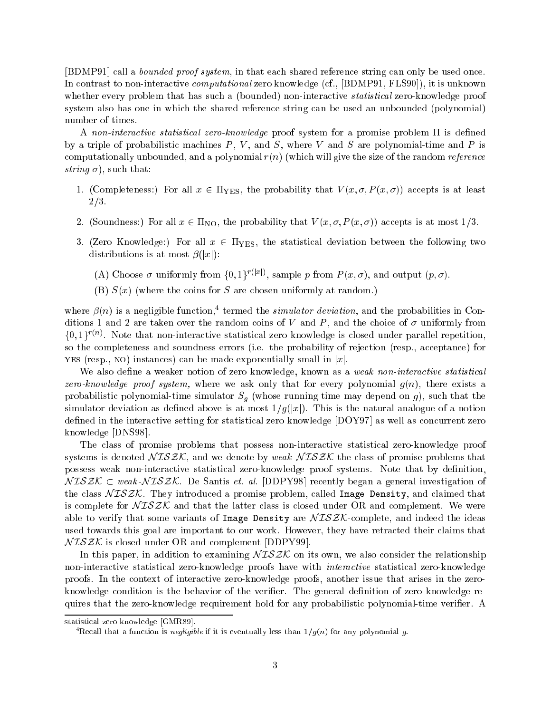[BDMP91] call a bounded proof system, in that each shared reference string can only be used once. In contrast to non-interactive *computational* zero knowledge (cf., [BDMP91, FLS90]), it is unknown whether every problem that has such a (bounded) non-interactive *statistical* zero-knowledge proof system also has one in which the shared reference string can be used an unbounded (polynomial) number of times.

A non-interactive statistical zero-knowledge proof system for a promise problem  $\Pi$  is defined by a triple of probabilistic machines  $P, V$ , and  $S$ , where V and S are polynomial-time and P is computationally unbounded, and a polynomial  $r(n)$  (which will give the size of the random *reference* string  $\sigma$ ), such that:

- 1. (Completeness:) For all  $x \in \Pi_{\text{YES}}$ , the probability that  $V(x, \sigma, P(x, \sigma))$  accepts is at least  $2/3.$
- 2. (Soundness:) For all  $x \in \Pi_{\text{NO}}$ , the probability that  $V(x, \sigma, P(x, \sigma))$  accepts is at most  $1/3$ .
- 3. (Zero Knowledge:) For all  $x \in \Pi_{\text{YES}}$ , the statistical deviation between the following two distributions is at most  $\beta(|x|)$ :
	- (A) Choose  $\sigma$  uniformly from {0, 1} wave, sample p from  $P(x, \sigma)$ , and output (p,  $\sigma$ ).
	- (B)  $S(x)$  (where the coins for S are chosen uniformly at random.)

where  $\rho(n)$  is a negligible function, termed the simulator deviation, and the probabilities in Conditions 1 and 2 are taken over the random coins of V and P, and the choice of  $\sigma$  uniformly from  $\{0,1\}$   $\rightarrow$   $\%$  . Note that non-interactive statistical zero knowledge is closed under parallel repetition, so the completeness and soundness errors (i.e. the probability of rejection (resp., acceptance) for YES (resp., NO) instances) can be made exponentially small in  $|x|$ .

We also define a weaker notion of zero knowledge, known as a *weak non-interactive statistical* zero-knowledge proof system, where we ask only that for every polynomial  $g(n)$ , there exists a probabilistic polynomial-time simulator Sg (whose running time may depend on g), such that the simulator deviation as defined above is at most  $1/g(|x|)$ . This is the natural analogue of a notion defined in the interactive setting for statistical zero knowledge [DOY97] as well as concurrent zero knowledge [DNS98].

The class of promise problems that possess non-interactive statistical zero-knowledge proof systems is denoted  $N \mathcal{ISZK}$ , and we denote by weak- $N \mathcal{ISZK}$  the class of promise problems that possess weak non-interactive statistical zero-knowledge proof systems. Note that by denition,  $NISZK \subset weak\text{-}NISZK$ . De Santis *et. al.* [DDPY98] recently began a general investigation of the class  $NISZK$ . They introduced a promise problem, called Image Density, and claimed that is complete for  $\widehat{\mathcal{NISZK}}$  and that the latter class is closed under OR and complement. We were able to verify that some variants of Image Density are  $\mathcal{NISZK}$ -complete, and indeed the ideas used towards this goal are important to our work. However, they have retracted their claims that  $NISZK$  is closed under OR and complement [DDPY99].

In this paper, in addition to examining  $N \mathcal{I} S \mathcal{Z} \mathcal{K}$  on its own, we also consider the relationship non-interactive statistical zero-knowledge proofs have with interactive statistical zero-knowledge proofs. In the context of interactive zero-knowledge proofs, another issue that arises in the zeroknowledge condition is the behavior of the verifier. The general definition of zero knowledge requires that the zero-knowledge requirement hold for any probabilistic polynomial-time verier. A

statistical zero knowledge [GMR89].

Recall that a function is *nequigible* if it is eventually less than  $1/q(n)$  for any polynomial  $q$ .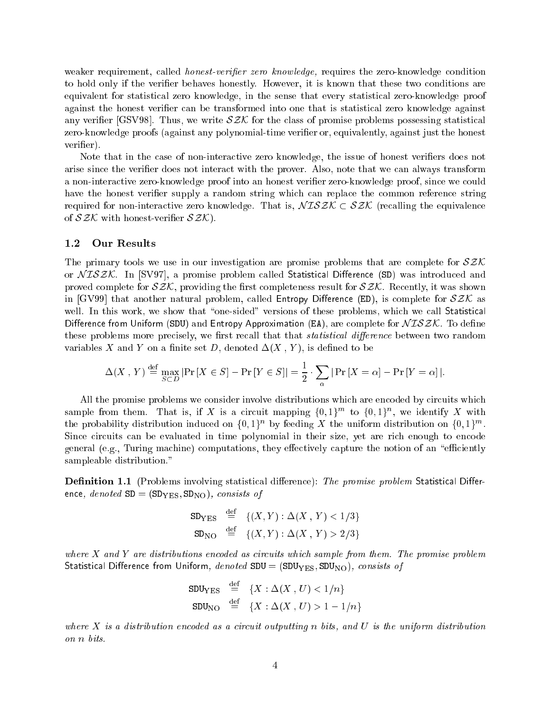weaker requirement, called *honest-verifier zero knowledge*, requires the zero-knowledge condition to hold only if the verifier behaves honestly. However, it is known that these two conditions are equivalent for statistical zero knowledge, in the sense that every statistical zero-knowledge proof against the honest verifier can be transformed into one that is statistical zero knowledge against any verifier [GSV98]. Thus, we write  $\mathcal{SZK}$  for the class of promise problems possessing statistical zero-knowledge proofs (against any polynomial-time verifier or, equivalently, against just the honest verifier).

Note that in the case of non-interactive zero knowledge, the issue of honest verifiers does not arise since the verifier does not interact with the prover. Also, note that we can always transform a non-interactive zero-knowledge proof into an honest verier zero-knowledge proof, since we could have the honest verifier supply a random string which can replace the common reference string required for non-interactive zero knowledge. That is,  $NISZK \subset SZK$  (recalling the equivalence of  $\mathcal{SZK}$  with honest-verifier  $\mathcal{SZK}$ ).

#### 1.2 Our Results

The primary tools we use in our investigation are promise problems that are complete for  $\mathcal{SZK}$ or  $NTSZK$ . In [SV97], a promise problem called Statistical Difference (SD) was introduced and proved complete for  $\mathcal{SZK}$ , providing the first completeness result for  $\mathcal{SZK}$ . Recently, it was shown in [GV99] that another natural problem, called Entropy Difference (ED), is complete for  $SZK$  as well. In this work, we show that "one-sided" versions of these problems, which we call Statistical Difference from Uniform (SDU) and Entropy Approximation (EA), are complete for  $NISZK$ . To define these problems more precisely, we first recall that that *statistical difference* between two random variables X and Y on a finite set D, denoted  $\Delta(X, Y)$ , is defined to be

$$
\Delta(X, Y) \stackrel{\text{def}}{=} \max_{S \subset D} |\Pr[X \in S] - \Pr[Y \in S]| = \frac{1}{2} \cdot \sum_{\alpha} |\Pr[X = \alpha] - \Pr[Y = \alpha]|.
$$

All the promise problems we consider involve distributions which are encoded by circuits which sample from them. That is, if  $A$  is a circuit mapping  $\{0,1\}^m$  to  $\{0,1\}^m$ , we identify  $A$  with the probability distribution induced on  $\{0,1\}^n$  by feeding  $X$  the uniform distribution on  $\{0,1\}^n$ . Since circuits can be evaluated in time polynomial in their size, yet are rich enough to encode general (e.g., Turing machine) computations, they effectively capture the notion of an "efficiently sampleable distribution."

**Definition 1.1** (Problems involving statistical difference): The promise problem Statistical Difference, denoted  $SD = (SD_{YES}, SD_{NO})$ , consists of

$$
SD_{YES} \stackrel{\text{def}}{=} \{ (X, Y) : \Delta(X, Y) < 1/3 \}
$$
\n
$$
SD_{NO} \stackrel{\text{def}}{=} \{ (X, Y) : \Delta(X, Y) > 2/3 \}
$$

where  $X$  and  $Y$  are distributions encoded as circuits which sample from them. The promise problem Statistical Difference from Uniform,  $denoted SDU = (SDU_{YES}, SDU_{NO})$ , consists of

$$
\begin{array}{rcl}\n\text{SDU}_{\text{YES}} & \stackrel{\text{def}}{=} & \{X:\Delta(X,\,U) < 1/n\} \\
\text{SDU}_{\text{NO}} & \stackrel{\text{def}}{=} & \{X:\Delta(X,\,U) > 1 - 1/n\}\n\end{array}
$$

where  $X$  is a distribution encoded as a circuit outputting n bits, and  $U$  is the uniform distribution on n bits.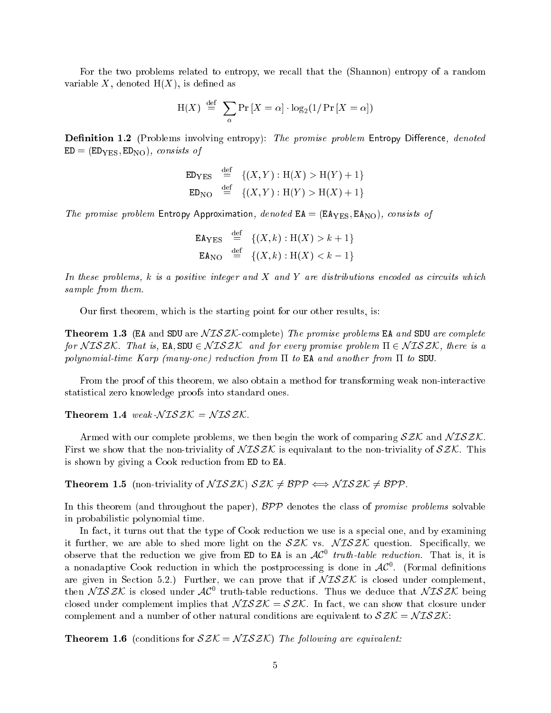For the two problems related to entropy, we recall that the (Shannon) entropy of a random variable X, denoted  $H(X)$ , is defined as

$$
H(X) \stackrel{\text{def}}{=} \sum_{\alpha} Pr[X = \alpha] \cdot log_2(1/Pr[X = \alpha])
$$

**Definition 1.2** (Problems involving entropy): The promise problem Entropy Difference, denoted  $ED = (ED_{YES}, ED_{NO})$ , consists of

$$
\begin{array}{rcl}\n\text{ED}_{\text{YES}} & \stackrel{\text{def}}{=} & \{(X, Y) : \text{H}(X) > \text{H}(Y) + 1\} \\
\text{ED}_{\text{NO}} & \stackrel{\text{def}}{=} & \{(X, Y) : \text{H}(Y) > \text{H}(X) + 1\}\n\end{array}
$$

The promise problem Entropy Approximation, denoted  $EA = (EA<sub>YES</sub>, EA<sub>NO</sub>)$ , consists of

$$
\begin{array}{rcl}\n\mathsf{EA}_{\text{YES}} & \stackrel{\text{def}}{=} & \{ (X, k) : \text{H}(X) > k + 1 \} \\
\mathsf{EA}_{\text{NO}} & \stackrel{\text{def}}{=} & \{ (X, k) : \text{H}(X) < k - 1 \} \\
\end{array}
$$

In these problems,  $k$  is a positive integer and  $X$  and  $Y$  are distributions encoded as circuits which sample from them.

Our first theorem, which is the starting point for our other results, is:

**Theorem 1.3** (EA and SDU are  $NISZK$ -complete) The promise problems EA and SDU are complete for  $NISZK$ . That is, EA, SDU  $\in NISZK$  and for every promise problem  $\Pi \in NISZK$ , there is a polynomial-time Karp (many-one) reduction from  $\Pi$  to EA and another from  $\Pi$  to SDU.

From the proof of this theorem, we also obtain a method for transforming weak non-interactive statistical zero knowledge proofs into standard ones.

Theorem 1.4 weak- $NISZK = NISZK$ .

Armed with our complete problems, we then begin the work of comparing  $SZK$  and  $NISZK$ . First we show that the non-triviality of  $\sqrt{L} \mathcal{S} \mathcal{Z} \mathcal{K}$  is equivalant to the non-triviality of  $\mathcal{S} \mathcal{Z} \mathcal{K}$ . This is shown by giving a Cook reduction from ED to EA.

**Theorem 1.5** (non-triviality of  $NISZK$ )  $SZK \neq BPP \Longleftrightarrow NISZK \neq BPP$ .

In this theorem (and throughout the paper),  $BPP$  denotes the class of promise problems solvable in probabilistic polynomial time.

In fact, it turns out that the type of Cook reduction we use is a special one, and by examining it further, we are able to shed more light on the  $SZK$  vs.  $NISZK$  question. Specifically, we observe that the reduction we give from ED to EA is an  $AC^-$  truth-table reduction. That is, it is a nonadaptive Cook reduction in which the postprocessing is done in  $AC^+$ . (Formal definitions are given in Section 5.2.) Further, we can prove that if  $NTSZK$  is closed under complement. then  $N$   $L$ 3 $\mathcal{Z}$ N is closed under  $\mathcal{A}C^+$  truth-table reductions. Thus we deduce that  $N$   $L$ 3 $\mathcal{Z}$ N being closed under complement implies that  $NISZK = SZK$ . In fact, we can show that closure under complement and a number of other natural conditions are equivalent to  $SZK = NISZK$ :

**Theorem 1.6** (conditions for  $\mathcal{SZK} = \mathcal{NISZK}$ ) The following are equivalent: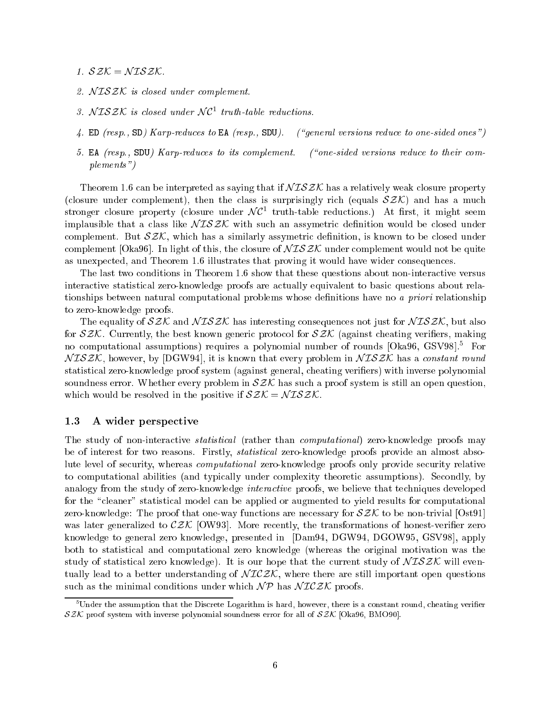1.  $SZK = NISZK$ .

- 2. NISZK is closed under complement.
- 3.  $N$  LS  $\mathcal{Z}$ N is closed under  $N$ C<sup>-</sup> truth-table reductions.
- 4. ED (resp., SD) Karp-reduces to EA (resp., SDU). ("general versions reduce to one-sided ones")
- 5. EA ( $resp.,$  SDU) Karp-reduces to its complement. ("one-sided versions reduce to their complements")

Theorem 1.6 can be interpreted as saying that if  $\mathcal{NISZK}$  has a relatively weak closure property (closure under complement), then the class is surprisingly rich (equals  $SZK$ ) and has a much  $\,$ stronger closure property (closure under  $N$ C $^{-}$  truth-table reductions.) At first, it might seem implausible that a class like  $NISZK$  with such an assymetric definition would be closed under complement. But  $\mathcal{SZK}$ , which has a similarly assymetric definition, is known to be closed under complement [Oka96]. In light of this, the closure of  $\mathcal{NISIK}$  under complement would not be quite as unexpected, and Theorem 1.6 illustrates that proving it would have wider consequences.

The last two conditions in Theorem 1.6 show that these questions about non-interactive versus interactive statistical zero-knowledge proofs are actually equivalent to basic questions about relationships between natural computational problems whose definitions have no a *priori* relationship to zero-knowledge proofs.

The equality of  $SZK$  and  $NISZK$  has interesting consequences not just for  $NISZK$ , but also for  $SZK$ . Currently, the best known generic protocol for  $SZK$  (against cheating verifiers, making no computational assumptions) requires a polynomial number of rounds [Oka96, GSV98].5 For  $N \text{ISZK}$ , however, by [DGW94], it is known that every problem in  $N \text{ISZK}$  has a constant round statistical zero-knowledge proof system (against general, cheating veriers) with inverse polynomial soundness error. Whether every problem in  $SZK$  has such a proof system is still an open question, which would be resolved in the positive if  $SZK = NISZK$ .

#### 1.3 A wider perspective

The study of non-interactive *statistical* (rather than *computational*) zero-knowledge proofs may be of interest for two reasons. Firstly, statistical zero-knowledge proofs provide an almost absolute level of security, whereas computational zero-knowledge proofs only provide security relative to computational abilities (and typically under complexity theoretic assumptions). Secondly, by analogy from the study of zero-knowledge *interactive* proofs, we believe that techniques developed for the "cleaner" statistical model can be applied or augmented to yield results for computational zero-knowledge: The proof that one-way functions are necessary for  $\mathcal{SZK}$  to be non-trivial  $[Ost91]$ was later generalized to  $\mathcal{ZK}$  [OW93]. More recently, the transformations of honest-verifier zero knowledge to general zero knowledge, presented in [Dam94, DGW94, DGOW95, GSV98], apply both to statistical and computational zero knowledge (whereas the original motivation was the study of statistical zero knowledge). It is our hope that the current study of  $NISZK$  will eventually lead to a better understanding of  $\mathcal{NICZK}$ , where there are still important open questions such as the minimal conditions under which  $\mathcal{NP}$  has  $\mathcal{NICZK}$  proofs.

Under the assumption that the Discrete Logarithm is hard, however, there is a constant round, cheating verifier SZK proof system with inverse polynomial soundness error for all of SZK [Oka96, BMO90].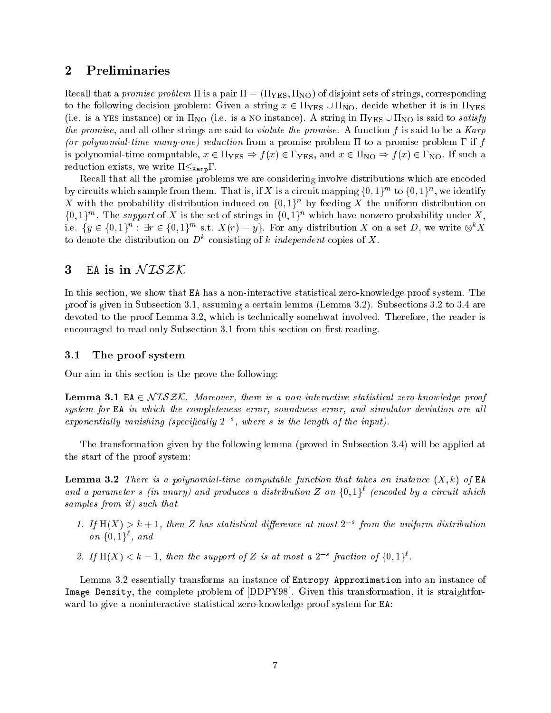## 2 Preliminaries

Recall that a promise problem  $\Pi$  is a pair  $\Pi = (\Pi_{\text{YES}}, \Pi_{\text{NO}})$  of disjoint sets of strings, corresponding to the following decision problem: Given a string  $x \in \Pi_{\text{YES}} \cup \Pi_{\text{NO}}$ , decide whether it is in  $\Pi_{\text{YES}}$ (i.e. is a yes instance) or in  $\Pi_{NO}$  (i.e. is a NO instance). A string in  $\Pi_{YES} \cup \Pi_{NO}$  is said to satisfy the promise, and all other strings are said to *violate the promise*. A function f is said to be a  $Karp$ (or polynomial-time many-one) reduction from a promise problem  $\Pi$  to a promise problem  $\Gamma$  if f is polynomial-time computable,  $x \in \Pi_{\text{YES}} \Rightarrow f(x) \in \Gamma_{\text{YES}}$ , and  $x \in \Pi_{\text{NO}} \Rightarrow f(x) \in \Gamma_{\text{NO}}$ . If such a reduction exists, we write  $\Pi \leq_{\text{Karp}} \Gamma$ .

Recall that all the promise problems we are considering involve distributions which are encoded by circuits which sample from them. That is, if A is a circuit mapping  $\{0,1\}^{\cdots}$  to  $\{0,1\}^{\cdots}$ , we identify  $\Lambda$  with the probability distribution induced on  $\{0,1\}^n$  by feeding  $\Lambda$  the uniform distribution on  $\{0, 1\}^m$ . The support of  $X$  is the set of strings in  $\{0, 1\}^m$  which have nonzero probability under  $X$ , i.e.  $\{y \in \{0,1\}^n : \exists t \in \{0,1\}^n \text{ s.t. } A(t) = y\}$ . For any distribution  $A$  on a set D, we write  $\otimes^n A$ to denote the distribution on  $D^+$  consisting of k *independent* copies of  $\Lambda$ .

## 3 EA is in  $NTSZK$

In this section, we show that EA has a non-interactive statistical zero-knowledge proof system. The proof is given in Subsection 3.1, assuming a certain lemma (Lemma 3.2). Subsections 3.2 to 3.4 are devoted to the proof Lemma 3.2, which is technically somehwat involved. Therefore, the reader is encouraged to read only Subsection 3.1 from this section on first reading.

#### 3.1 The proof system

Our aim in this section is the prove the following:

**Lemma 3.1** EA  $\in NISZK$ . Moreover, there is a non-interactive statistical zero-knowledge proof system for EA in which the completeness error, soundness error, and simulator deviation are all  $exponential$  vanishing (specificatly  $2$  ), where s is the length of the input).

The transformation given by the following lemma (proved in Subsection 3.4) will be applied at the start of the proof system:

**Lemma 3.2** There is a polynomial-time computable function that takes an instance  $(X, k)$  of EA and a parameter  $s$  (in unary) and produces a aistribution  $\boldsymbol{\mathrm{z}}$  on  $\{\mathtt{0},\mathtt{1}\}^*$  (encoded by a circuit which samples from it) such that

- 1. If  $\Pi(X) \geq \kappa + 1$ , then  $Z$  has statistical afflerence at most  $Z$  = from the uniform aistribution  $\mathit{on}$   $\{0,1\}$ , and
- 2. If  $\mathbf{H}(\mathbf{A}) \leq \kappa = 1$ , then the support of  $\mathbf{Z}$  is at most a  $\mathbf{Z}$  -fraction of  $\{0,1\}$ .

Lemma 3.2 essentially transforms an instance of Entropy Approximation into an instance of Image Density, the complete problem of [DDPY98]. Given this transformation, it is straightforward to give a noninteractive statistical zero-knowledge proof system for EA: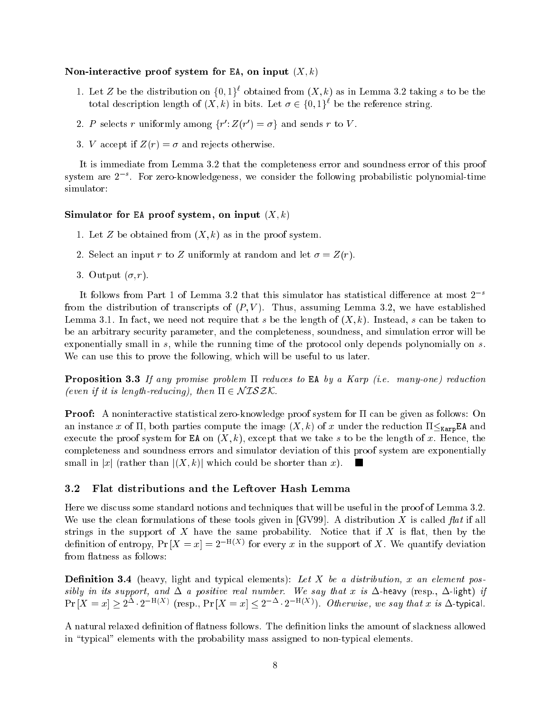#### Non-interactive proof system for EA, on input  $(X, k)$

- 1. Let Z be the distribution on  $\{0, 1\}^*$  obtained from  $(A, \kappa)$  as in Lemma 3.2 taking s to be the total description length of  $(X, \kappa)$  in bits. Let  $\sigma \in \{0, 1\}^{\times}$  be the reference string.
- 2. P selects r uniformly among  $\{r : \angle(r) = \sigma\}$  and sends r to V.
- 3. V accept if  $Z(r) = \sigma$  and rejects otherwise.

It is immediate from Lemma 3.2 that the completeness error and soundness error of this proof  $s$ ystem are  $z$   $\,$  . For zero-knowledgeness, we consider the following probabilistic polynomial-time simulator:

#### Simulator for EA proof system, on input  $(X, k)$

- 1. Let Z be obtained from  $(X, k)$  as in the proof system.
- 2. Select an input r to Z uniformly at random and let  $\sigma = Z(r)$ .
- 3. Output  $(\sigma, r)$ .

It follows from Part 1 of Lemma 3.2 that this simulator has statistical difference at most  $2^{-s}$ from the distribution of transcripts of  $(P, V)$ . Thus, assuming Lemma 3.2, we have established Lemma 3.1. In fact, we need not require that s be the length of  $(X, k)$ . Instead, s can be taken to be an arbitrary security parameter, and the completeness, soundness, and simulation error will be exponentially small in s, while the running time of the protocol only depends polynomially on s. We can use this to prove the following, which will be useful to us later.

**Proposition 3.3** If any promise problem  $\Pi$  reduces to EA by a Karp (i.e. many-one) reduction (even if it is length-reducing), then  $\Pi \in \mathcal{NISZK}$ .

**Proof:** A noninteractive statistical zero-knowledge proof system for  $\Pi$  can be given as follows: On an instance x of  $\Pi$ , both parties compute the image  $(X, k)$  of x under the reduction  $\Pi \leq_{\text{Karp}} E \Lambda$  and execute the proof system for EA on  $(X, k)$ , except that we take s to be the length of x. Hence, the completeness and soundness errors and simulator deviation of this proof system are exponentially small in |x| (rather than  $|(X, k)|$  which could be shorter than x). **The Co** 

#### 3.2 Flat distributions and the Leftover Hash Lemma

Here we discuss some standard notions and techniques that will be useful in the proof of Lemma 3.2. We use the clean formulations of these tools given in  $[GV99]$ . A distribution X is called flat if all strings in the support of  $X$  have the same probability. Notice that if  $X$  is flat, then by the definition of entropy,  $Pr[\bar{X} = x] = Z$  for every x in the support of  $\bar{X}$ . We quantify deviation from flatness as follows:

**Definition 3.4** (heavy, light and typical elements): Let X be a distribution, x an element possibly in its support, and  $\Delta$  a positive real number. We say that x is  $\Delta$ -heavy (resp.,  $\Delta$ -light) if  $\Pr |X = x| \geq 2 + \epsilon$  is exp.,  $\Pr |X = x| \leq 2 + \epsilon$  is equivalently we say that x is  $\Delta$ -typical.

A natural relaxed definition of flatness follows. The definition links the amount of slackness allowed in "typical" elements with the probability mass assigned to non-typical elements.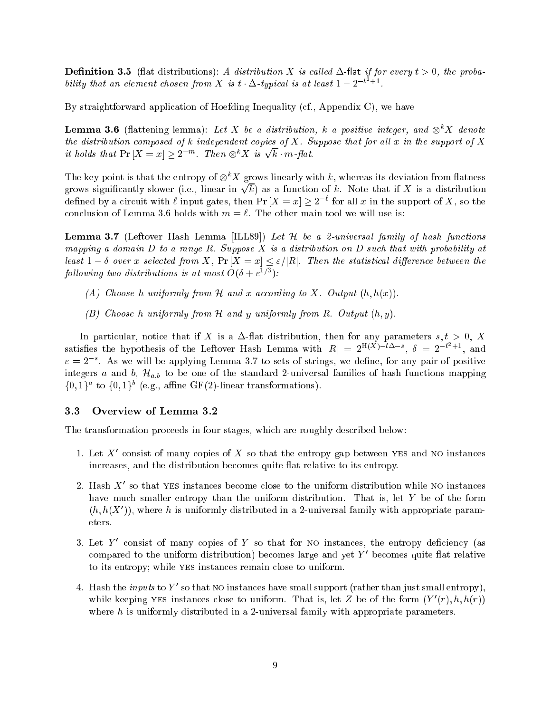**Definition 3.5** (flat distributions): A distribution X is called  $\Delta$ -flat if for every  $t > 0$ , the probability that an element chosen from X is t  $\Delta$ -typical is at least  $1 - 2^{-t}$  +1.

By straightforward application of Hoefding Inequality (cf., Appendix C), we have

**Lemma 3.6** (nattening lemma): Let  $\Lambda$  be a assiribution,  $\kappa$  a positive integer, and  $\otimes^{\cdot} \Lambda$  denote the distribution composed of k independent copies of  $X$ . Suppose that for all  $x$  in the support of  $X$ it holds that  $Pr[X = x] > 2^{-m}$ . Then  $\otimes^k X$  is  $\sqrt{k} \cdot m$ -flat.

The key point is that the entropy of  $\otimes^{\cdot} \Lambda$  grows linearly with k, whereas its deviation from flatness grows significantly slower (i.e., linear in  $\sqrt{k}$ ) as a function of k. Note that if X is a distribution defined by a circuit with  $\ell$  input gates, then Pr  $|X| = x| \geq 2$  for all x in the support of  $X$ , so the conclusion of Lemma 3.6 holds with  $m = \ell$ . The other main tool we will use is:

**Lemma 3.7** (Leftover Hash Lemma [ILL89]) Let  $H$  be a 2-universal family of hash functions mapping a domain  $D$  to a range  $R$ . Suppose  $X$  is a distribution on  $D$  such that with probability at least  $1 - \delta$  over x selected from X,  $\Pr[X = x] \leq \varepsilon/|R|$ . Then the statistical difference between the following two alstributions is at most  $O(\delta + \varepsilon^{-1})$ :

- (A) Choose h uniformly from  $\mathcal H$  and x according to X. Output  $(h, h(x))$ .
- (B) Choose h uniformly from  $H$  and y uniformly from  $R$ . Output  $(h, y)$ .

In particular, notice that if X is a  $\Delta$ -flat distribution, then for any parameters s,  $t > 0$ , X satisfies the hypothesis of the Leftover Hash Lemma with  $|R| = 2^{\ln(A) - \iota \Delta - s}$ ,  $\delta = 2^{-\iota + 1}$ , and  $\varepsilon = 2$  . As we will be applying Lemma 3.7 to sets of strings, we define, for any pair of positive integers a and b, Ha;b to be one of the standard 2-universal families of hash functions mapping  $\{0, 1\}$  to  $\{0, 1\}$  (e.g., anime Gr(2)-inicar transformations).

#### 3.3 Overview of Lemma 3.2

The transformation proceeds in four stages, which are roughly described below:

- 1. Let  $\Lambda$  consist of many copies of  $\Lambda$  so that the entropy gap between yes and no instances increases, and the distribution becomes quite flat relative to its entropy.
- $\Delta$ . Hash  $\Delta$  so that yes instances become close to the uniform distribution while no instances have much smaller entropy than the uniform distribution. That is, let Y be of the form  $(n, n(\Delta^-))$ , where h is uniformly distributed in a 2-universal family with appropriate parameters.
- $\beta$ . Let  $Y$  -consist of many copies of  $Y$  so that for NO instances, the entropy deficiency (as compared to the uniform distribution) becomes large and yet  $\chi$  -becomes quite flat relative to its entropy; while yes instances remain close to uniform.
- 4. Hash the *inputs* to Y so that NO instances have small support (rather than just small entropy), while keeping yes instances close to uniform. That is, let  $Z$  be of the form  $(Y, h, h(T))$ where h is uniformly distributed in a 2-universal family with appropriate parameters.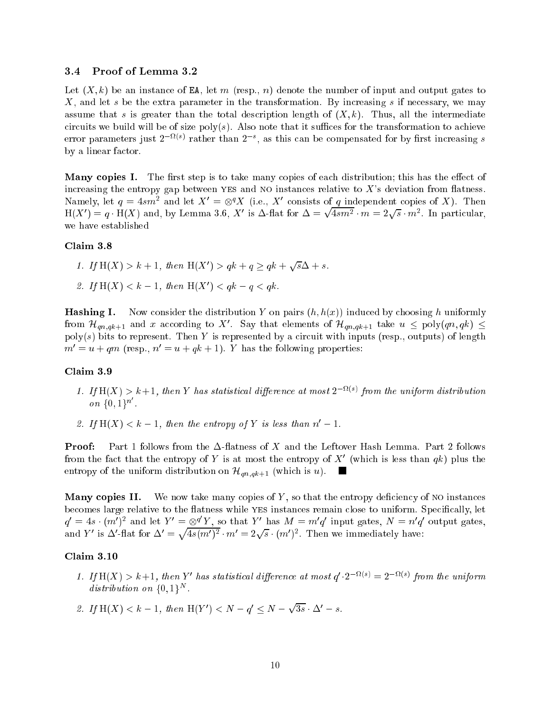#### 3.4 Proof of Lemma 3.2

Let  $(X, k)$  be an instance of EA, let m (resp., n) denote the number of input and output gates to X, and let s be the extra parameter in the transformation. By increasing s if necessary, we may assume that s is greater than the total description length of  $(X, k)$ . Thus, all the intermediate circuits we build will be of size poly(s). Also note that it suffices for the transformation to achieve error parameters just  $2^{-(\gamma + \gamma)}$  rather than  $2^{(\gamma)}$ , as this can be compensated for by first increasing  $s$ by a linear factor.

Many copies I. The first step is to take many copies of each distribution; this has the effect of increasing the entropy gap between YES and NO instances relative to  $X$ 's deviation from flatness. Namely, let  $q = 4sm^2$  and let  $A^1 = \otimes^2 A^1$  (i.e.,  $A^1$  consists of q independent copies of  $A$ ). Then  $\Pi(X) = q \cdot \Pi(X)$  and, by Lemma 3.0,  $\Lambda$  is  $\Delta$ -hat for  $\Delta =$  $\sqrt{4sm^2} \cdot m = 2\sqrt{s} \cdot m^2$ . In particular, we have established

#### Claim 3.8

- 1. If  $H(X) > k+1$ , then  $H(X') > qk + q > qk + \sqrt{s}\Delta + s$ .
- 2. If  $\Pi(A) \leq \kappa = 1$ , then  $\Pi(A) \leq q\kappa q \leq q\kappa$ .

**Hashing I.** Now consider the distribution Y on pairs  $(h, h(x))$  induced by choosing h uniformly from  $\pi_{an,ak+1}$  and x according to  $\Lambda$ . Say that elements of  $\pi_{an,ak+1}$  take  $u \leq \text{poly}(qn, q\kappa) \leq$  $poly(s)$  bits to represent. Then Y is represented by a circuit with inputs (resp., outputs) of length  $m' = u + qm$  (resp.,  $n' = u + qk + 1$ ). Y has the following properties:

#### Claim 3.9

- 1. If  $\ln(X) > \kappa + 1$ , then Y has statistical altherence at most  $2^{-(\kappa + \kappa)}$  from the uniform alstribution on  $\{0,1\}^n$ .
- 2. If  $H(X) < k 1$ , then the entropy of Y is less than  $n' 1$ .

**Proof:** Part 1 follows from the  $\Delta$ -flatness of X and the Leftover Hash Lemma. Part 2 follows from the fact that the entropy of Y is at most the entropy of  $\Lambda$  (which is less than  $q\kappa$ ) plus the entropy of the uniform distribution on  $\mathcal{H}_{qn,qk+1}$  (which is u). **In the first** 

**Many copies II.** We now take many copies of Y, so that the entropy deficiency of NO instances becomes large relative to the flatness while YES instances remain close to uniform. Specifically, let  $q' = 4s \cdot (m')^2$  and let  $Y' = \otimes^q Y$ , so that Y' has  $M = m'q'$  input gates,  $N = n'q'$  output gates, and Y' is  $\Delta'$ -flat for  $\Delta' = \sqrt{4s(m')^2} \cdot m' = 2\sqrt{s} \cdot (m')^2$ . Then we immediately have:

#### $Claim 3.10$

- 1. If  $\Pi(\Lambda) \geq \kappa + 1$ , then Y has statistical difference at most  $q \cdot 2 \rightarrow \infty$  = 2  $\rightarrow \infty$  from the uniform  $\it{a}$  is a tribution on  $\{0, 1\}$ .
- 2. If  $\Pi(A) \leq \kappa = 1$ , then  $\Pi(I) \leq N q \leq N 1$  $\sqrt{3s} \cdot \Delta' - s$ .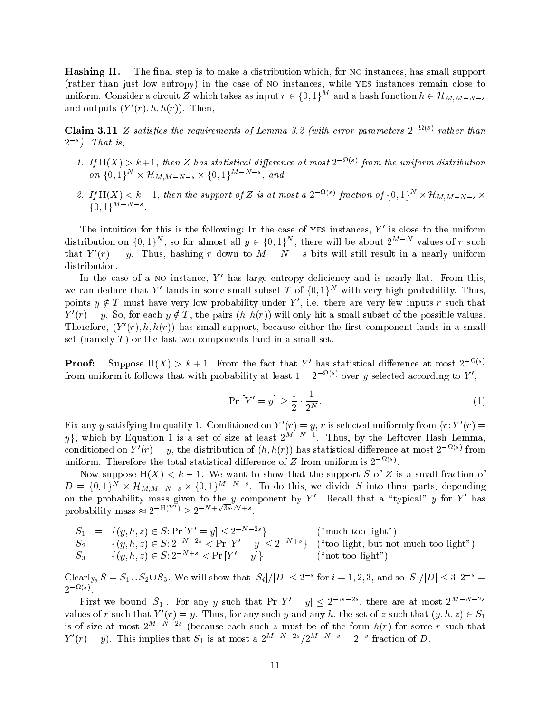**Hashing II.** The final step is to make a distribution which, for NO instances, has small support (rather than just low entropy) in the case of no instances, while yes instances remain close to uniform. Consider a circuit Z which takes as input  $r \in \{0,1\}^M$  and a hash function  $h \in \mathcal{H}_{M,M-N-s}$ and outputs  $(r_0, n, n(r))$ . Inen,

**Claim 3.11**  $\boldsymbol{\Sigma}$  satisfies the requirements of Lemma 3.2 (with error parameters  $\boldsymbol{\Sigma}$   $\cdots$ ) rather than 2s ). That is,

- 1. If  $\pi(x) > \kappa + 1$ , then  $\Delta$  has statistical alfference at most  $\Delta$  from the uniform alstribution  $\mathcal{O}n \{0, 1\} \times \mathcal{H}_{M,M-N-s} \times \{0, 1\}$ , and
- z. If  $\pi(\Lambda) < \kappa 1$ , then the support of  $\Lambda$  is at most a  $2^{-(n+1)}$  fraction of  $\{0,1\}^n \times \pi_{M,M-N-s} \times \pi_{M}$  $\{0, 1\}$  .

The intuition for this is the following: In the case of yes instances,  $\gamma$  is close to the uniform distribution on  $\{0, 1\}^n$ , so for almost all  $y \in \{0, 1\}^n$ , there will be about  $2^{n}$  m values of r such that  $Y(T) = y$ . Thus, hashing r down to  $M - N - s$  bits will still result in a nearly uniform distribution.

In the case of a NO instance,  $\,$   $\,$  mas large entropy deficiency and is nearly hat. From this, we can deduce that  $Y$  -fands in some small subset  $T$  of  $\{0, 1\}^\times$  with very high probability. Thus, points  $y \notin I$  must have very low probability under Y , i.e. there are very few inputs r such that  $Y(T) = y$ . So, for each  $y \notin T$ , the pairs  $(n, n(T))$  will only hit a small subset of the possible values. Therefore,  $(Y|(T), h, h(T))$  has small support, because either the first component fands in a small set (namely  $T$ ) or the last two components land in a small set.

**Proof:** Suppose  $\pi(x) \geq \kappa + 1$ . From the fact that Y has statistical difference at most Z  $\cdots$ from uniform it follows that with probability at least  $1 - 2$  and over y selected according to Y  $\,$ ,

$$
\Pr\left[Y'=y\right] \ge \frac{1}{2} \cdot \frac{1}{2^N}.\tag{1}
$$

Fix any y satisfying inequality 1. Conditioned on  $Y_0(r) = y, r$  is selected uniformly from  $\{r: Y_0 \} =$  $y_i$ , which by Equation 1 is a set of size at least 2MN 1.1 Thus, by the Leftover Hash Lemma, conditioned on  $Y_0(\tau) = y$ , the distribution of  $(n, n(\tau))$  has statistical difference at most  $Z_0(\tau)$  from uniform. Therefore the total statistical difference of  $\mathbb Z$  from uniform is  $\mathbb Z$  and  $\mathbb Z$ .

Now suppose  $H(X) < k - 1$ . We want to show that the support S of Z is a small fraction of  $D = \{0, 1\}$   $\times$   $\pi_{M,M-N-s}$   $\times$   $\{0, 1\}$   $\times$  10 do this, we divide S into three parts, depending on the probability mass given to the y component by Y. Recall that a typical y for Y has<br>probability mass  $\approx 2^{-H(Y')} > 2^{-N+\sqrt{3s}\cdot\Delta'+s}$ .

 $S_1 = \{ (y, n, z) \in S : \text{Pf} \mid Y = y \} \leq Z$  if  $\Gamma$  is  $\Gamma$  in the too light  $\Gamma$  $S_2 = \{ (y, n, z) \in S : Z \text{ and } z \in \text{Pr} | Y = y \} \subseteq Z \text{ and } z \in \text{Tr} (0, 0)$  is equal to the equal to  $\text{sgn}(z)$  $S_3 = \{(\hat{y}, n, z) \in S: Z \cap \{z \in S : |Y| = y\} \}$  (not too light")

Clearly,  $S = S_1 \cup S_2 \cup S_3$ . We will show that  $|S_i|/|D| \leq 2$  for  $i = 1, 2, 3$ , and so  $|S|/|D| \leq 3 \cdot 2 =$ 2 <sup>-</sup> 1

First we bound  $|S_1|$ . For any y such that  $P[|Y| \geq |y|] \leq Z$  is the are at most  $Z^{n-2}$  is the set values of r such that  $Y_0(\tau) = y$ . Thus, for any such y and any h, the set of z such that  $(y, n, z) \in S_1$ is of size at most  $2^{m}$  is a pecause each such z must be of the form  $h(r)$  for some r such that  $Y(T) = y$ . This implies that  $S_1$  is at most a  $2^{n-1}$   $\cdots$   $2^{n-1}$   $\cdots$  = 2  $\cdots$  fraction of D.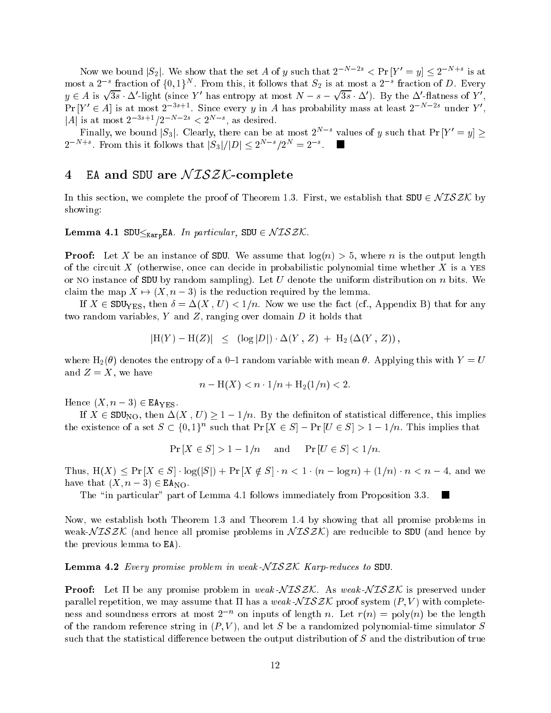Now we bound  $|\mathcal{S}_2|$ . We show that the set A of y such that  $2^{n-2} \leq \Pr |I| = y \leq 2^{n+2}$  is at most a 2  $\,$  -fraction of  $\{0,1\}^\sim$  . From this, it follows that  $S_2$  is at most a 2  $\,$  -fraction of  $D.$  Every  $y \in A$  is  $\sqrt{3s} \cdot \Delta'$ -light (since Y' has entropy at most  $N - s$ )  $\sqrt{3s} \cdot \Delta'$ ). By the  $\Delta'$ -flatness of Y', Pr  $|Y| \in A$  is at most 23 state. Since every y in A has probability mass at least 2 state under Y , |A| is at most  $2^{s+1}/2$  as  $\leq 2^{s+1}$ , as desired.

Phally, we bound  $|S_3|$ . Clearly, there can be at most  $Z_N$  values of y such that  $P\cap Y = y$   $\geq$ 2 met . From this it follows that  $|S_3|/|D| \leq 2^{n+1}/2^n = 2^{-n}$ .

# 4 EA and SDU are  $NISZK$ -complete

In this section, we complete the proof of Theorem 1.3. First, we establish that  $SDU \in NISZK$  by showing:

#### **Lemma 4.1 SDU** $\leq_{\text{Karp}}$ EA. In particular, SDU  $\in NISZK$ .

**Proof:** Let X be an instance of SDU. We assume that  $log(n) > 5$ , where n is the output length of the circuit X (otherwise, once can decide in probabilistic polynomial time whether X is a yes or NO instance of SDU by random sampling). Let U denote the uniform distribution on n bits. We claim the map  $X \mapsto (X, n - 3)$  is the reduction required by the lemma.

If  $X \in SDU_{\text{YES}}$ , then  $\delta = \Delta(X, U) < 1/n$ . Now we use the fact (cf., Appendix B) that for any two random variables, Y and Z, ranging over domain D it holds that

$$
|H(Y) - H(Z)| \leq (log|D|) \cdot \Delta(Y, Z) + H_2(\Delta(Y, Z)),
$$

where  $H_2(\theta)$  denotes the entropy of a 0-1 random variable with mean  $\theta$ . Applying this with  $Y = U$ and  $Z = X$ , we have

$$
n - H(X) < n \cdot 1/n + H_2(1/n) < 2.
$$

Hence  $(X, n-3) \in \text{EAYES}.$ 

If  $X \in SDU_{NO}$ , then  $\Delta(X, U) \geq 1 - 1/n$ . By the definiton of statistical difference, this implies the existence of a set  $S \subseteq \{0, 1\}^n$  such that  $P\left[|X \in S| = P\left[\right]\right] \cup \{S| > 1 - 1/n\}$ . This implies that

 $Pr[X \in S] > 1 - 1/n$  and  $Pr[U \in S] < 1/n$ .

Thus,  $H(X) \leq Pr[X \in S] \cdot log(|S|) + Pr[X \notin S] \cdot n < 1 \cdot (n - log n) + (1/n) \cdot n < n - 4$ , and we have that  $(X, n-3) \in \text{EA}_{\text{NO}}$ .

ш

The "in particular" part of Lemma 4.1 follows immediately from Proposition 3.3.

Now, we establish both Theorem 1.3 and Theorem 1.4 by showing that all promise problems in weak- $N \mathcal{ISZK}$  (and hence all promise problems in  $N \mathcal{ISZK}$ ) are reducible to SDU (and hence by the previous lemma to EA).

**Lemma 4.2** Every promise problem in weak- $NISZK$  Karp-reduces to SDU.

**Proof:** Let  $\Pi$  be any promise problem in weak  $N \mathcal{ISZK}$ . As weak  $N \mathcal{ISZK}$  is preserved under parallel repetition, we may assume that  $\Pi$  has a weak  $\mathcal{NISZK}$  proof system  $(P, V)$  with completeness and soundness errors at most  $z \mod n$  inputs of length  $n$ . Let  $r(n) = \text{poly}(n)$  be the length of the random reference string in  $(P, V)$ , and let S be a randomized polynomial-time simulator S such that the statistical difference between the output distribution of  $S$  and the distribution of true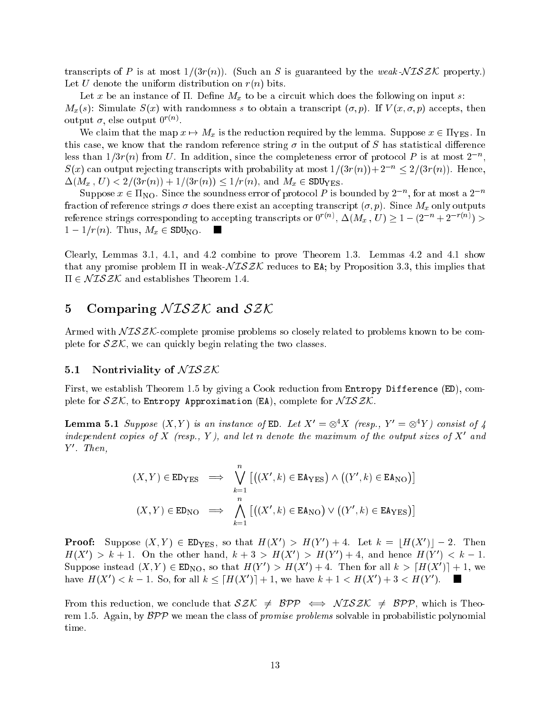transcripts of P is at most  $1/(3r(n))$ . (Such an S is guaranteed by the weak-NISZK property.) Let U denote the uniform distribution on  $r(n)$  bits.

 $\mathcal{L}$  be an instance of . Definite of . Definite a circuit which does the following on input s:  $M_x(s)$ : Simulate  $S(x)$  with randomness s to obtain a transcript  $(\sigma, p)$ . If  $V(x, \sigma, p)$  accepts, then output  $\sigma$ , else output  $0.77$ .

We construct that the map  $\mu$  is the map of the reduction required by the lemma . Suppose  $\mu$  2 yes. In  $\mu$ this case, we know that the random reference string  $\sigma$  in the output of S has statistical difference less than  $1/3r(n)$  from U. In addition, since the completeness error of protocol P is at most 2  $\degree$ ,  $S(x)$  can output rejecting transcripts with probability at most  $1/(3r(n))+2^{-n} \leq 2/(3r(n))$ . Hence, (Mx ; U) <sup>&</sup>lt; 2=(3r(n)) <sup>+</sup> 1=(3r(n)) 1=r(n), and Mx <sup>2</sup> SDUyes.

Suppose  $x \in \Pi_{\text{NO}}$ . Since the soundness error of protocol P is bounded by  $2^{-n}$ , for at most a  $2^{-n}$ fraction of reference strings does there exist an accepting transcript (; p). Since Mx only outputs reference strings corresponding to accepting transcripts or  $0<sup>(n)</sup>$ ,  $\Delta(M_x, U) \geq 1 - (2<sup>(n)</sup> + 2<sup>(n)</sup>) > 1$ m 1 1=r(n). Thus, Mx <sup>2</sup> SDUno.

Clearly, Lemmas 3.1, 4.1, and 4.2 combine to prove Theorem 1.3. Lemmas 4.2 and 4.1 show that any promise problem  $\Pi$  in weak- $\sqrt{L} \mathcal{S} \mathcal{K}$  reduces to EA; by Proposition 3.3, this implies that  $\Pi \in \mathcal{NISZK}$  and establishes Theorem 1.4.

## 5 Comparing  $NISZK$  and  $SZK$

Armed with  $NTSZK$ -complete promise problems so closely related to problems known to be complete for  $SZK$ , we can quickly begin relating the two classes.

#### 5.1 Nontriviality of  $NISZK$

First, we establish Theorem 1.5 by giving a Cook reduction from Entropy Difference (ED), complete for  $SZK$ , to Entropy Approximation (EA), complete for  $NISZK$ .

**Lemma 5.1** Suppose  $\{X, Y\}$  is an instance of ED. Let  $X = \otimes^{\cdot} X$  (resp.,  $Y = \otimes^{\cdot} Y$ ) consist of 4 independent copies of  $\Lambda$  (resp., 1), and let n denote the maximum of the output sizes of  $\Lambda$  -and  $\mathbf{I}$  .  $\mathbf{I}$  new,

$$
(X, Y) \in \text{ED}_{\text{YES}} \implies \bigvee_{k=1}^{n} \left[ \left( (X', k) \in \text{EA}_{\text{YES}} \right) \land \left( (Y', k) \in \text{EA}_{\text{NO}} \right) \right]
$$

$$
(X, Y) \in \text{ED}_{\text{NO}} \implies \bigwedge_{k=1}^{n} \left[ \left( (X', k) \in \text{EA}_{\text{NO}} \right) \lor \left( (Y', k) \in \text{EA}_{\text{YES}} \right) \right]
$$

**Proof:** Suppose  $(A, I) \in Eves, so that  $H(A) \geq H(I) + 4$ . Let  $k = |H(A)| - 2$ . Then$  $\pi(\Lambda) \geq \kappa + 1$ . On the other hand,  $\kappa + \delta \geq \pi(\Lambda) \geq \pi(\ell) + 4$ , and hence  $\pi(\ell) \leq \kappa - 1$ . Suppose instead  $(X, Y) \in E\mathcal{W}_0$ , so that  $H(Y) > H(X) + 4$ . Then for all  $k > |H(X)| + 1$ , we have  $H(X) \leq k = 1$ , so, for all  $k \leq |H(X)| + 1$ , we have  $k + 1 \leq H(X) + 3 \leq H(Y)$ .

From this reduction, we conclude that  $SZK \neq BPP \iff NISZK \neq BPP$ , which is Theorem 1.5. Again, by  $BPP$  we mean the class of *promise problems* solvable in probabilistic polynomial time.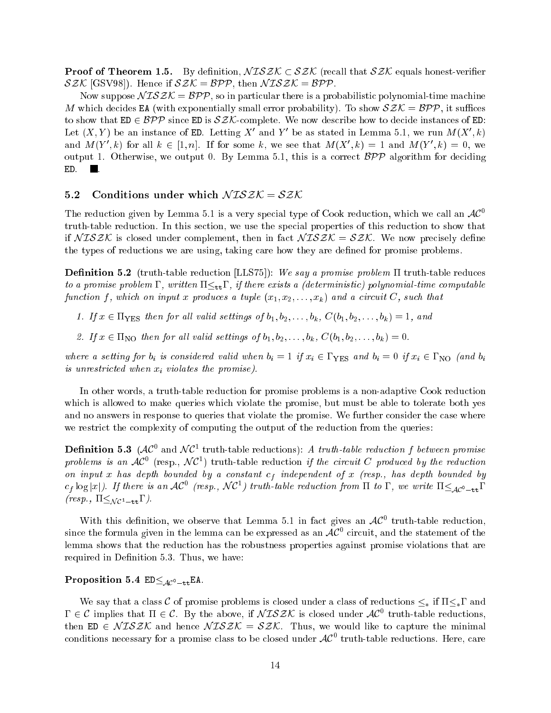**Proof of Theorem 1.5.** By definition,  $NISZK \subset SZK$  (recall that  $SZK$  equals honest-verifier SZK [GSV98]). Hence if  $SZK = BPP$ , then  $NISZK = BPP$ .

Now suppose  $NISZK = BPP$ , so in particular there is a probabilistic polynomial-time machine M which decides EA (with exponentially small error probability). To show  $SZK = BPP$ , it suffices to show that  $ED \in BPP$  since ED is  $SZK$ -complete. We now describe how to decide instances of ED: Let  $(X, Y)$  be an instance of ED. Letting  $X$  and  $Y$  be as stated in Lemma 5.1, we run  $M(X, K)$ and  $M(T, \kappa)$  for an  $\kappa \in [1, n]$ . If for some  $\kappa$ , we see that  $M(\Lambda, \kappa) \equiv 1$  and  $M(T, \kappa) \equiv 0$ , we output 1. Otherwise, we output 0. By Lemma 5.1, this is a correct  $\beta \mathcal{P} \mathcal{P}$  algorithm for deciding ED. . **The Contract of the Contract of the Contract of the Contract of the Contract of the Contract of the Contract of the Contract of the Contract of the Contract of the Contract of the Contract of the Contract of the Contract** 

#### 5.2 Conditions under which  $NTSZK = SZK$

The reduction given by Lemma 5.1 is a very special type of Cook reduction, which we call an  $AC^0$ truth-table reduction. In this section, we use the special properties of this reduction to show that if  $NISZK$  is closed under complement, then in fact  $NISZK = SZK$ . We now precisely define the types of reductions we are using, taking care how they are dened for promise problems.

**Definition 5.2** (truth-table reduction [LLS75]): We say a promise problem  $\Pi$  truth-table reduces to a promise problem  $\Gamma$ , written  $\Pi \leq_{\text{tt}} \Gamma$ , if there exists a (deterministic) polynomial-time computable function f, which on input x produces a tuple  $(x_1, x_2, \ldots, x_k)$  and a circuit C, such that

- 1. If  $x \in \Pi_{\text{YES}}$  then for all valid settings of  $b_1, b_2, \ldots, b_k$ ,  $C(b_1, b_2, \ldots, b_k) = 1$ , and
- 2. If  $x \in \Pi_{\text{NO}}$  then for all valid settings of  $b_1, b_2, \ldots, b_k$ ,  $C(b_1, b_2, \ldots, b_k) = 0$ .

where a set is considered valid when bind  $\mu$  is considered value of  $\mu$  if  $\mu$  if  $\mu$  if  $\mu$  if  $\mu$  if  $\mu$  if  $\mu$  if  $\mu$  if  $\mu$  if  $\mu$  if  $\mu$  if  $\mu$  if  $\mu$  if  $\mu$  if  $\mu$  if  $\mu$  if  $\mu$  if  $\mu$  if  $\mu$  if is unrestricted when xi violates the promise).

In other words, a truth-table reduction for promise problems is a non-adaptive Cook reduction which is allowed to make queries which violate the promise, but must be able to tolerate both yes and no answers in response to queries that violate the promise. We further consider the case where we restrict the complexity of computing the output of the reduction from the queries:

**Definition 5.3** (AC) and NC truth-table reductions): A truth-table reduction f between promise problems is an  $AC$  (resp.,  $NC$ ) truth-table reduction if the circuit C produced by the reduction on input x has depth bounded by a constant cf independent of <sup>x</sup> (resp., has depth bounded by  $c_f \log |x|$ ). If there is an AC (resp., NCT) truth-table reduction from 11 to 1, we write  $11 \leq_{\mathcal{AC}} 0$ -ttl  $(resp., \Pi \leq_{\mathcal{NC}^1-\mathsf{tt}}\Gamma).$ 

With this definition, we observe that Lemma 5.1 in fact gives an  $AC^-$  truth-table reduction, since the formula given in the lemma can be expressed as an  ${\cal AC}$  circuit, and the statement of the lemma shows that the reduction has the robustness properties against promise violations that are required in Definition 5.3. Thus, we have:

#### Proposition 5.4  $ED \leq_{AC^0-\text{tt}}EA$ .

We say that a class C of promise problems is closed under a class of reductions  $\leq_*$  if  $\Pi \leq_* \Gamma$  and  $1 \in C$  implies that  $\Pi \in C$ . By the above, if  $NLOZ$ N is closed under  $AC$  truth-table reductions, then ED  $\in NISZK$  and hence  $NISZK = SZK$ . Thus, we would like to capture the minimal conditions necessary for a promise class to be closed under  $AC^-$  truth-table reductions. Here, care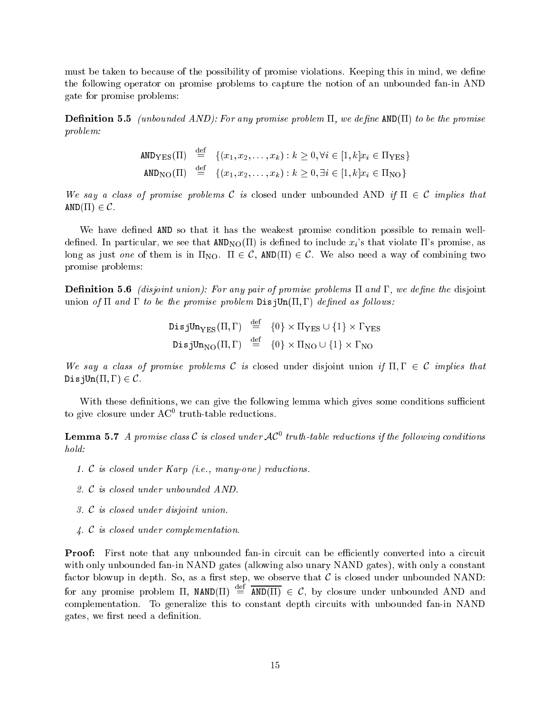must be taken to because of the possibility of promise violations. Keeping this in mind, we define the following operator on promise problems to capture the notion of an unbounded fan-in AND gate for promise problems:

**Definition 5.5** (unbounded AND): For any promise problem  $\Pi$ , we define  $\text{AND}(\Pi)$  to be the promise problem:

$$
\begin{array}{lll} \texttt{AND}_{\text{YES}}(\Pi) & \stackrel{\text{def}}{=} & \{ (x_1, x_2, \dots, x_k) : k \ge 0, \forall i \in [1, k] x_i \in \Pi_{\text{YES}} \} \\ \texttt{AND}_{\text{NO}}(\Pi) & \stackrel{\text{def}}{=} & \{ (x_1, x_2, \dots, x_k) : k \ge 0, \exists i \in [1, k] x_i \in \Pi_{\text{NO}} \} \end{array}
$$

We say a class of promise problems C is closed under unbounded AND if  $\Pi \in \mathcal{C}$  implies that  $AND(\Pi) \in \mathcal{C}$ .

We have defined AND so that it has the weakest promise condition possible to remain welldefined. In particular, we see that  $AND_{NO}(\Pi)$  is defined to include  $x_i$ 's that violate  $\Pi$ 's promise, as long as just one of them is in  $\Pi_{\text{NO}}$ .  $\Pi \in \mathcal{C}$ , AND( $\Pi$ )  $\in \mathcal{C}$ . We also need a way of combining two promise problems:

**Definition 5.6** *(disjoint union): For any pair of promise problems*  $\Pi$  and  $\Gamma$ *, we define the disjoint* union of  $\Pi$  and  $\Gamma$  to be the promise problem  $\text{DisjUn}(\Pi,\Gamma)$  defined as follows:

```
DisjUn_{\rm VES}({\rm II,1^{\prime}}) = \{0\}\times{\rm II_{\rm YES}}\cup\{1\}\times{\rm I_{\rm YES}}DisjUn_{\rm NO}({\rm II, I^{\prime}}) = \{0\}\times {\rm II_{NO}} \cup \{1\}\times {\rm I_{NO}}
```
We say a class of promise problems C is closed under disjoint union if  $\Pi, \Gamma \in \mathcal{C}$  implies that DisjUn $(\Pi, \Gamma) \in \mathcal{C}$ .

With these definitions, we can give the following lemma which gives some conditions sufficient to give closure under AC truth-table reductions.

**Lemma 5.1** A promise class C is closed under  $AC$  truin-table reductions if the following conditions hold:

- 1. <sup>C</sup> is closed under Karp (i.e., many-one) reductions.
- 2. <sup>C</sup> is closed under unbounded AND.
- 3. <sup>C</sup> is closed under disjoint union.
- 4. <sup>C</sup> is closed under complementation.

**Proof:** First note that any unbounded fan-in circuit can be efficiently converted into a circuit with only unbounded fan-in NAND gates (allowing also unary NAND gates), with only a constant factor blowup in depth. So, as a first step, we observe that  $\mathcal C$  is closed under unbounded NAND: for any promise problem II,  $NAND(II) \equiv AND(II) \in C$ , by closure under unbounded AND and complementation. To generalize this to constant depth circuits with unbounded fan-in NAND gates, we first need a definition.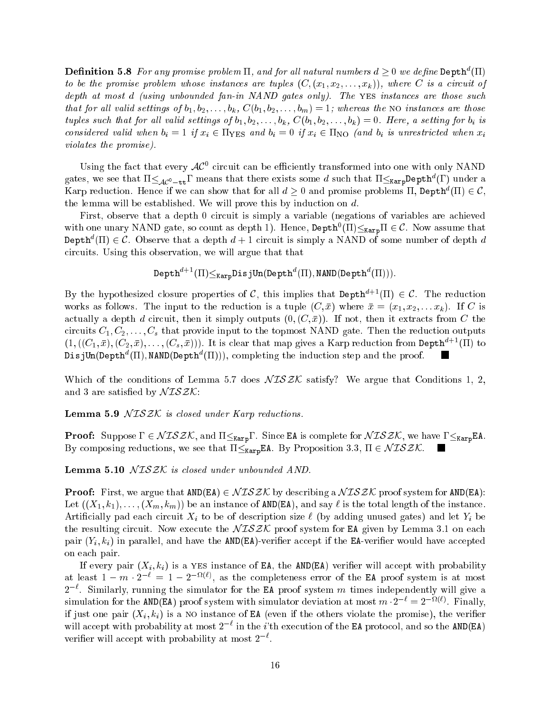**Definition 5.8** For any promise problem 11, and for all natural numbers  $a > 0$  we define Depth<sup>-</sup>(11) to be the promise problem whose instances are tuples  $(C, (x_1, x_2, \ldots, x_k))$ , where C is a circuit of depth at most d (using unbounded fan-in NAND gates only). The YES instances are those such that for all valid settings of  $b_1, b_2, \ldots, b_k$ ,  $C(b_1, b_2, \ldots, b_m) = 1$ ; whereas the NO instances are those tuples such that for all valid settings of  $b_1, b_2, \ldots, b_k$ ,  $C(b_1, b_2, \ldots, b_k) = 0$ . Here, a setting for  $b_i$  is considered valid when  $\alpha$  is and bin  $\alpha$  if  $\alpha$  if  $\alpha$  is unrestricted when  $\alpha$  is unrestricted when  $\alpha$ violates the promise).

Using the fact that every  $AC^+$  circuit can be efficiently transformed into one with only NAND gates, we see that  $11\leq\mathcal{A}e^0-tt$  means that there exists some  $a$  such that  $11\leq\kappa_{\mathtt{arp}}$ Depth (1) under a Narp reduction. Hence if we can show that for all  $a > 0$  and promise problems  $\Pi$ , Depth  $\Pi$   $\vdash$   $\in$   $C$ , the lemma will be established. We will prove this by induction on d.

First, observe that a depth 0 circuit is simply a variable (negations of variables are achieved with one unary NAND gate, so count as depth 1). Hence,  $\mathtt{Depth}(11){\leq}\mathtt{Karp11}\in\mathcal{C}.$  Now assume that  $P$  depth  $(11) \in C$ . Observe that a depth  $a + 1$  circuit is simply a NAND of some number of depth  $a$ circuits. Using this observation, we will argue that that

$$
Depth^{d+1}(\Pi) \leq_{Karp} DisjUn(Depth^d(\Pi), NAND(Depth^d(\Pi))).
$$

By the hypothesized closure properties of C, this implies that Depth<sup>d+1</sup>( $\Pi$ )  $\in \mathcal{C}$ . The reduction works as follows. The input to the reduction is a tuple  $(C, \bar{x})$  where  $\bar{x} = (x_1, x_2, \ldots x_k)$ . If C is actually a depth d circuit, then it simply outputs  $(0, (C, \bar{x}))$ . If not, then it extracts from C the circuits  $C_1, C_2, \ldots, C_s$  that provide input to the topmost NAND gate. Then the reduction outputs  $(1, ((C_1, \bar{x}), (C_2, \bar{x}), \ldots, (C_s, \bar{x})))$ . It is clear that map gives a Karp reduction from Depth<sup>d+1</sup>(II) to  $\nu$ 15 Jun(Depth"(II), NAND(Depth"(II))), completing the induction step and the proof.

Which of the conditions of Lemma 5.7 does  $NISZK$  satisfy? We argue that Conditions 1, 2, and 3 are satisfied by  $\mathcal{NISZK}$ :

**Lemma 5.9**  $NISZK$  is closed under Karp reductions.

**Proof:** Suppose  $\Gamma \in \mathcal{NISZK}$ , and  $\Pi \leq_{\text{Karp}} \Gamma$ . Since EA is complete for  $\mathcal{NISZK}$ , we have  $\Gamma \leq_{\text{Karp}}$ EA. By composing reductions, we see that  $\Pi \leq_{\text{Karp}} \text{EA}$ . By Proposition 3.3,  $\Pi \in \mathcal{NISZK}$ .

**Lemma 5.10**  $NTSZK$  is closed under unbounded AND.

**Proof:** First, we argue that  $AND(EA) \in \mathcal{NISZK}$  by describing a  $\mathcal{NISZK}$  proof system for  $AND(EA)$ : Let  $((X_1, k_1), \ldots, (X_m, k_m))$  be an instance of AND(EA), and say  $\ell$  is the total length of the instance. Article limit  $\alpha$  to be only to be of description size  $\alpha$  and let  $\alpha$  and let  $\alpha$  and let  $\alpha$  be only to be only to be  $\alpha$ the resulting circuit. Now execute the  $NISZK$  proof system for EA given by Lemma 3.1 on each pair (F)):() in parallel, and have the AND(EA)-verifier accepted the EA-verifier would have the EA-verifier would on each pair.

If every pair (IFA) if a the EAS instance of EA, the AND(EA) verifies with probability probability at least  $1 - m \cdot 2 = 1 - 2 \quad \text{``},$  as the completeness error of the EA proof system is at most  $2$ . Similarly, running the simulator for the EA proof system  $m$  times independently will give a simulation for the AND(EA) proof system with simulator deviation at most  $m \cdot 2^+ = 2^{++}$ . Finally, if it is a non-part one pair (Xi is a notate of  $\Gamma$  ), the others violate the promise  $\Gamma$  , the verifies of the verifies of the verifies of the verifies of the verifies of the verifies of the verifies of the verifies of will accept with probability at most  $2^{-\ell}$  in the *i*'th execution of the EA protocol, and so the AND(EA) verier will accept with probability at most 2` .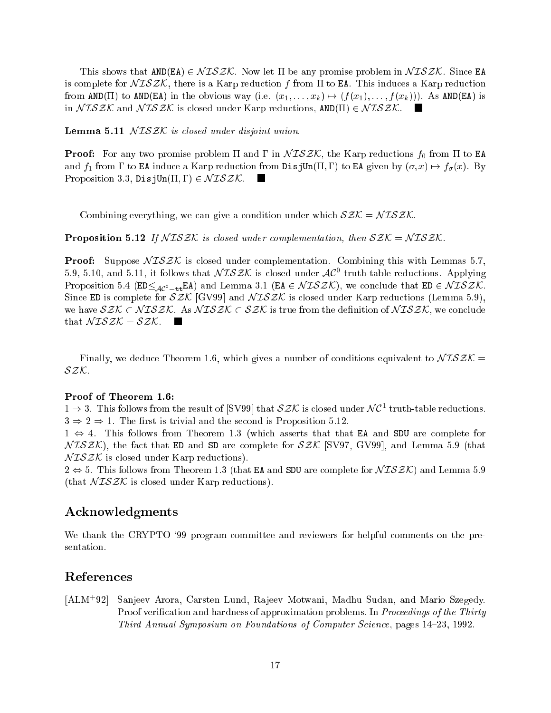This shows that  $AND(EA) \in NISZK$ . Now let  $\Pi$  be any promise problem in  $NISZK$ . Since EA is complete for  $\sqrt{L}SZK$ , there is a Karp reduction f from  $\Pi$  to EA. This induces a Karp reduction from AND(II) to AND(EA) in the obvious way (i.e.  $(x_1, \ldots, x_k) \mapsto (f(x_1), \ldots, f(x_k))$ ). As AND(EA) is in  $NTSZK$  and  $NTSZK$  is closed under Karp reductions,  $AND(\Pi) \in NISZK$ .

**Lemma 5.11**  $NISZK$  is closed under disjoint union.

**Proof:** For any two promise problem  $\Pi$  and  $\Gamma$  in  $\mathcal{N}ISZK$ , the Karp reductions  $f_0$  from  $\Pi$  to EA and  $f_1$  from  $\Gamma$  to EA induce a Karp reduction from DisjUn( $\Pi, \Gamma$ ) to EA given by  $(\sigma, x) \mapsto f_\sigma(x)$ . By Proposition 3.3, DisjUn( $\Pi, \Gamma$ )  $\in \mathcal{NISZK}$ .

Combining everything, we can give a condition under which  $\mathcal{SZK} = \mathcal{NISZK}$ .

**Proposition 5.12** If  $NISZK$  is closed under complementation, then  $SZK = NISZK$ .

**Proof:** Suppose  $NISZK$  is closed under complementation. Combining this with Lemmas 5.7, 5.9, 5.10, and 5.11, it follows that  $N\,L$ d $\geq$ N is closed under  $\cal{A}C^-$  truth-table reductions. Applying Proposition 5.4 ( $ED \leq_{AC^0-\text{tt}}E\text{A}$ ) and Lemma 3.1 ( $EA \in \mathcal{NISZK}$ ), we conclude that  $ED \in \mathcal{NISZK}$ . Since ED is complete for  $SZK$  [GV99] and  $NISZK$  is closed under Karp reductions (Lemma 5.9), we have  $SZK \subset NISZK$ . As  $NISZK \subset SZK$  is true from the definition of  $NISZK$ , we conclude that  $\mathcal{N} \mathcal{ISZK} = \mathcal{SZK}$ .  $\blacksquare$ 

Finally, we deduce Theorem 1.6, which gives a number of conditions equivalent to  $NISZK =$ SZK.

#### Proof of Theorem 1.6:

 $1 \Rightarrow 3$ . I his follows from the result of  $|SVMy|$  that  $SLN$  is closed under N C<sup>-</sup> truth-table reductions.  $3 \Rightarrow 2 \Rightarrow 1$ . The first is trivial and the second is Proposition 5.12.

 $1 \Leftrightarrow 4$ . This follows from Theorem 1.3 (which asserts that that EA and SDU are complete for  $NISZK$ ), the fact that ED and SD are complete for  $SZK$  [SV97, GV99], and Lemma 5.9 (that  $NISZK$  is closed under Karp reductions).

 $2 \Leftrightarrow 5$ . This follows from Theorem 1.3 (that EA and SDU are complete for  $\mathcal{NISZK}$ ) and Lemma 5.9 (that  $NISZK$  is closed under Karp reductions).

## Acknowledgments

We thank the CRYPTO '99 program committee and reviewers for helpful comments on the presentation.

### References

 $[ALM+92]$ Sanjeev Arora, Carsten Lund, Rajeev Motwani, Madhu Sudan, and Mario Szegedy. Proof verification and hardness of approximation problems. In *Proceedings of the Thirty* Third Annual Symposium on Foundations of Computer Science, pages 14–23, 1992.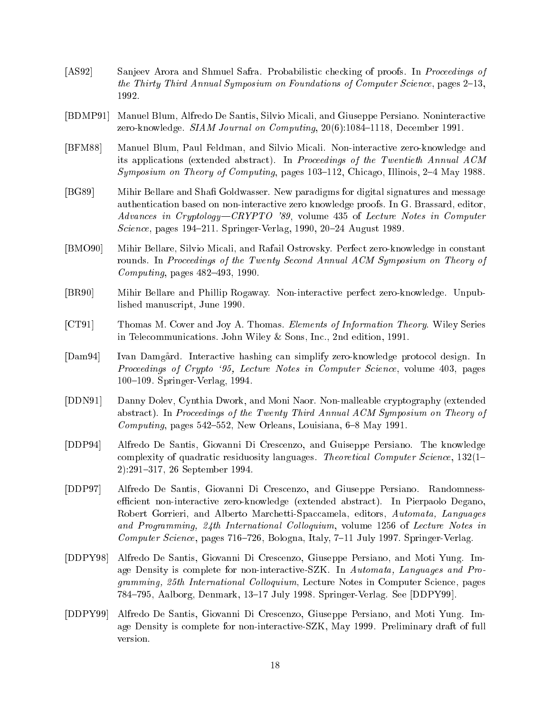- [AS92] Sanjeev Arora and Shmuel Safra. Probabilistic checking of proofs. In Proceedings of the Thirty Third Annual Symposium on Foundations of Computer Science, pages  $2-13$ , 1992.
- [BDMP91] Manuel Blum, Alfredo De Santis, Silvio Micali, and Giuseppe Persiano. Noninteractive zero-knowledge.  $SIAM$  Journal on Computing,  $20(6)$ :1084-1118, December 1991.
- [BFM88] Manuel Blum, Paul Feldman, and Silvio Micali. Non-interactive zero-knowledge and its applications (extended abstract). In Proceedings of the Twentieth Annual ACM Symposium on Theory of Computing, pages  $103{-}112$ , Chicago, Illinois,  $2{-}4$  May 1988.
- [BG89] Mihir Bellare and Shafi Goldwasser. New paradigms for digital signatures and message authentication based on non-interactive zero knowledge proofs. In G. Brassard, editor, Advances in Cryptology-CRYPTO '89, volume 435 of Lecture Notes in Computer Science, pages 194-211. Springer-Verlag, 1990, 20-24 August 1989.
- [BMO90] Mihir Bellare, Silvio Micali, and Rafail Ostrovsky. Perfect zero-knowledge in constant rounds. In Proceedings of the Twenty Second Annual ACM Symposium on Theory of Computing, pages  $482-493$ , 1990.
- [BR90] Mihir Bellare and Phillip Rogaway. Non-interactive perfect zero-knowledge. Unpublished manuscript, June 1990.
- [CT91] Thomas M. Cover and Joy A. Thomas. Elements of Information Theory. Wiley Series in Telecommunications. John Wiley & Sons, Inc., 2nd edition, 1991.
- [Dam94] Ivan Damgard. Interactive hashing can simplify zero-knowledge protocol design. In Proceedings of Crypto `95, Lecture Notes in Computer Science, volume 403, pages 100-109. Springer-Verlag, 1994.
- [DDN91] Danny Dolev, Cynthia Dwork, and Moni Naor. Non-malleable cryptography (extended abstract). In Proceedings of the Twenty Third Annual ACM Symposium on Theory of Computing, pages  $542-552$ , New Orleans, Louisiana,  $6-8$  May 1991.
- [DDP94] Alfredo De Santis, Giovanni Di Crescenzo, and Guiseppe Persiano. The knowledge complexity of quadratic residuosity languages. Theoretical Computer Science,  $132(1-$ 2):291-317, 26 September 1994.
- [DDP97] Alfredo De Santis, Giovanni Di Crescenzo, and Giuseppe Persiano. Randomnessefficient non-interactive zero-knowledge (extended abstract). In Pierpaolo Degano, Robert Gorrieri, and Alberto Marchetti-Spaccamela, editors, Automata, Languages and Programming, 24th International Colloquium, volume 1256 of Lecture Notes in Computer Science, pages  $716{-}726$ , Bologna, Italy,  $7{-}11$  July 1997. Springer-Verlag.
- [DDPY98] Alfredo De Santis, Giovanni Di Crescenzo, Giuseppe Persiano, and Moti Yung. Image Density is complete for non-interactive-SZK. In Automata, Languages and Programming, 25th International Colloquium, Lecture Notes in Computer Science, pages 784-795, Aalborg, Denmark, 13-17 July 1998. Springer-Verlag. See [DDPY99].
- [DDPY99] Alfredo De Santis, Giovanni Di Crescenzo, Giuseppe Persiano, and Moti Yung. Image Density is complete for non-interactive-SZK, May 1999. Preliminary draft of full version.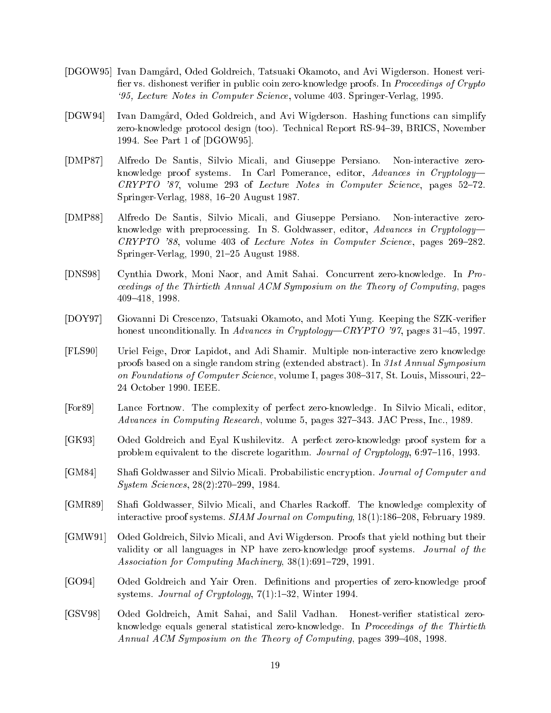- [DGOW95] Ivan Damgard, Oded Goldreich, Tatsuaki Okamoto, and Avi Wigderson. Honest veri fier vs. dishonest verifier in public coin zero-knowledge proofs. In Proceedings of Crypto `95, Lecture Notes in Computer Science, volume 403. Springer-Verlag, 1995.
- [DGW94] Ivan Damgard, Oded Goldreich, and Avi Wigderson. Hashing functions can simplify zero-knowledge protocol design (too). Technical Report RS-94-39, BRICS, November 1994. See Part 1 of [DGOW95].
- [DMP87] Alfredo De Santis, Silvio Micali, and Giuseppe Persiano. Non-interactive zeroknowledge proof systems. In Carl Pomerance, editor, Advances in Cryptology- $CRYPTO$  '87, volume 293 of Lecture Notes in Computer Science, pages 52–72. Springer-Verlag, 1988, 16-20 August 1987.
- [DMP88] Alfredo De Santis, Silvio Micali, and Giuseppe Persiano. Non-interactive zeroknowledge with preprocessing. In S. Goldwasser, editor,  $Advances$  in Cryptology- $CRYPTO$  '88, volume 403 of Lecture Notes in Computer Science, pages 269-282. Springer-Verlag, 1990, 21–25 August 1988.
- [DNS98] Cynthia Dwork, Moni Naor, and Amit Sahai. Concurrent zero-knowledge. In Proceedings of the Thirtieth Annual ACM Symposium on the Theory of Computing, pages 409{418, 1998.
- [DOY97] Giovanni Di Crescenzo, Tatsuaki Okamoto, and Moti Yung. Keeping the SZK-verier honest unconditionally. In Advances in Cryptology—CRYPTO '97, pages 31–45, 1997.
- [FLS90] Uriel Feige, Dror Lapidot, and Adi Shamir. Multiple non-interactive zero knowledge proofs based on a single random string (extended abstract). In 31st Annual Symposium on Foundations of Computer Science, volume I, pages  $308-317$ , St. Louis, Missouri, 22-24 October 1990. IEEE.
- [For89] Lance Fortnow. The complexity of perfect zero-knowledge. In Silvio Micali, editor, Advances in Computing Research, volume 5, pages 327–343. JAC Press, Inc., 1989.
- [GK93] Oded Goldreich and Eyal Kushilevitz. A perfect zero-knowledge proof system for a problem equivalent to the discrete logarithm. Journal of Cryptology,  $6:97{-}116$ , 1993.
- [GM84] Shafi Goldwasser and Silvio Micali. Probabilistic encryption. Journal of Computer and System Sciences, 28(2):270-299, 1984.
- [GMR89] Shafi Goldwasser, Silvio Micali, and Charles Rackoff. The knowledge complexity of interactive proof systems. SIAM Journal on Computing,  $18(1)$ :186-208, February 1989.
- [GMW91] Oded Goldreich, Silvio Micali, and Avi Wigderson. Proofs that yield nothing but their validity or all languages in NP have zero-knowledge proof systems. Journal of the Association for Computing Machinery,  $38(1):691-729$ , 1991.
- [GO94] Oded Goldreich and Yair Oren. Definitions and properties of zero-knowledge proof systems. Journal of Cryptology,  $7(1):1{-}32$ , Winter 1994.
- [GSV98] Oded Goldreich, Amit Sahai, and Salil Vadhan. Honest-verifier statistical zeroknowledge equals general statistical zero-knowledge. In *Proceedings of the Thirtieth* Annual ACM Symposium on the Theory of Computing, pages  $399-408$ , 1998.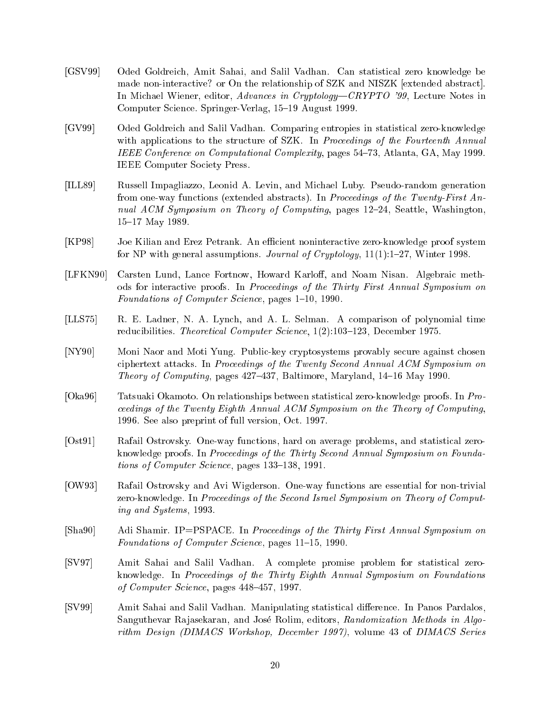- [GSV99] Oded Goldreich, Amit Sahai, and Salil Vadhan. Can statistical zero knowledge be made non-interactive? or On the relationship of SZK and NISZK [extended abstract]. In Michael Wiener, editor, Advances in Cryptology—CRYPTO '99, Lecture Notes in Computer Science. Springer-Verlag, 15-19 August 1999.
- [GV99] Oded Goldreich and Salil Vadhan. Comparing entropies in statistical zero-knowledge with applications to the structure of SZK. In Proceedings of the Fourteenth Annual IEEE Conference on Computational Complexity, pages 54-73, Atlanta, GA, May 1999. IEEE Computer Society Press.
- [ILL89] Russell Impagliazzo, Leonid A. Levin, and Michael Luby. Pseudo-random generation from one-way functions (extended abstracts). In Proceedings of the Twenty-First Annual  $ACM$  Symposium on Theory of Computing, pages 12–24, Seattle, Washington, 15-17 May 1989.
- [KP98] Joe Kilian and Erez Petrank. An efficient noninteractive zero-knowledge proof system for NP with general assumptions. Journal of Cryptology,  $11(1):1-27$ , Winter 1998.
- [LFKN90] Carsten Lund, Lance Fortnow, Howard Karloff, and Noam Nisan. Algebraic methods for interactive proofs. In Proceedings of the Thirty First Annual Symposium on Foundations of Computer Science, pages 1–10, 1990.
- [LLS75] R. E. Ladner, N. A. Lynch, and A. L. Selman. A comparison of polynomial time reducibilities. Theoretical Computer Science, 1(2):103-123, December 1975.
- [NY90] Moni Naor and Moti Yung. Public-key cryptosystems provably secure against chosen ciphertext attacks. In Proceedings of the Twenty Second Annual ACM Symposium on Theory of Computing, pages  $427-437$ , Baltimore, Maryland,  $14-16$  May 1990.
- [Oka96] Tatsuaki Okamoto. On relationships between statistical zero-knowledge proofs. In Proceedings of the Twenty Eighth Annual ACM Symposium on the Theory of Computing, 1996. See also preprint of full version, Oct. 1997.
- [Ost91] Rafail Ostrovsky. One-way functions, hard on average problems, and statistical zeroknowledge proofs. In Proceedings of the Thirty Second Annual Symposium on Foundations of Computer Science, pages  $133-138$ , 1991.
- [OW93] Rafail Ostrovsky and Avi Wigderson. One-way functions are essential for non-trivial zero-knowledge. In Proceedings of the Second Israel Symposium on Theory of Computing and Systems, 1993.
- [Sha90] Adi Shamir. IP=PSPACE. In Proceedings of the Thirty First Annual Symposium on Foundations of Computer Science, pages 11-15, 1990.
- [SV97] Amit Sahai and Salil Vadhan. A complete promise problem for statistical zeroknowledge. In Proceedings of the Thirty Eighth Annual Symposium on Foundations of Computer Science, pages  $448-457$ , 1997.
- [SV99] Amit Sahai and Salil Vadhan. Manipulating statistical difference. In Panos Pardalos, Sanguthevar Rajasekaran, and José Rolim, editors, Randomization Methods in Algorithm Design (DIMACS Workshop, December 1997), volume 43 of DIMACS Series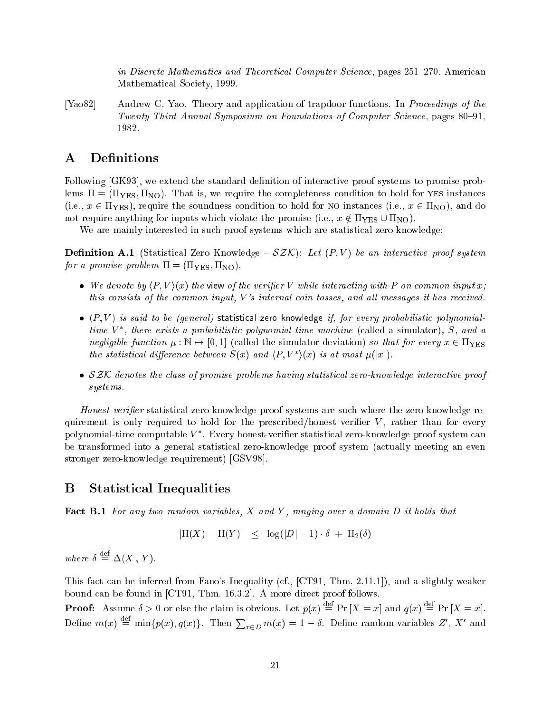in Discrete Mathematics and Theoretical Computer Science, pages 251-270. American Mathematical Society, 1999.

[Yao82] Andrew C. Yao. Theory and application of trapdoor functions. In Proceedings of the Twenty Third Annual Symposium on Foundations of Computer Science, pages 80–91, 1982.

### A Definitions

Following [GK93], we extend the standard definition of interactive proof systems to promise problems  $\Pi = (\Pi_{\text{YES}}, \Pi_{\text{NO}})$ . That is, we require the completeness condition to hold for YES instances (i.e.,  $x \in \Pi_{\text{YES}}$ ), require the soundness condition to hold for NO instances (i.e.,  $x \in \Pi_{\text{NO}}$ ), and do not require anything for inputs which violate the promise (i.e.,  $x \notin \Pi_{\text{YES}} \cup \Pi_{\text{NO}}$ ).

We are mainly interested in such proof systems which are statistical zero knowledge:

**Definition A.1** (Statistical Zero Knowledge –  $\mathcal{SZK}$ ): Let  $(P, V)$  be an interactive proof system for a promise problem  $\Pi = (\Pi_{\text{YES}}, \Pi_{\text{NO}})$ .

- We denote by  $\langle P, V \rangle (x)$  the view of the verifier V while interacting with P on common input x; this consists of the common input,  $V$ 's internal coin tosses, and all messages it has received.
- $\bullet$  (P, V) is said to be (general) statistical zero knowledge if, for every probabilistic polynomialtime V , there exists a probabilistic polynomial-time machine (called a simulator), S, and a negligible function  $\mu : \mathbb{N} \to [0, 1]$  (called the simulator deviation) so that for every  $x \in \Pi_{\text{YES}}$ the statistical airperence between  $S(x)$  and  $\langle P, V \rangle(x)$  is at most  $\mu(|x|)$ .
- SZK denotes the class of promise problems having statistical zero-knowledge interactive proof systems.

Honest-verifier statistical zero-knowledge proof systems are such where the zero-knowledge requirement is only required to hold for the prescribed/honest verifier  $V$ , rather than for every polynomial-time computable V . Every honest-verier statistical zero-knowledge proof system can be transformed into a general statistical zero-knowledge proof system (actually meeting an even stronger zero-knowledge requirement) [GSV98].

## B Statistical Inequalities

Fact B.1 For any two random variables, X and Y, ranging over a domain D it holds that

$$
|H(X) - H(Y)| \leq \log(|D| - 1) \cdot \delta + H_2(\delta)
$$

where  $\delta \equiv \Delta(X, Y)$ .

This fact can be inferred from Fano's Inequality (cf., [CT91, Thm. 2.11.1]), and a slightly weaker bound can be found in [CT91, Thm. 16.3.2]. A more direct proof follows.

**Proof:** Assume  $\delta > 0$  or else the claim is obvious. Let  $p(x) = Pr |X = x|$  and  $q(x) = Pr |X = x|$ . Define  $m(x) \stackrel{\text{def}}{=} \min\{p(x), q(x)\}.$  Then  $\sum_{x \in D} m(x) = 1 - \delta$ . Define random variables Z', X' and